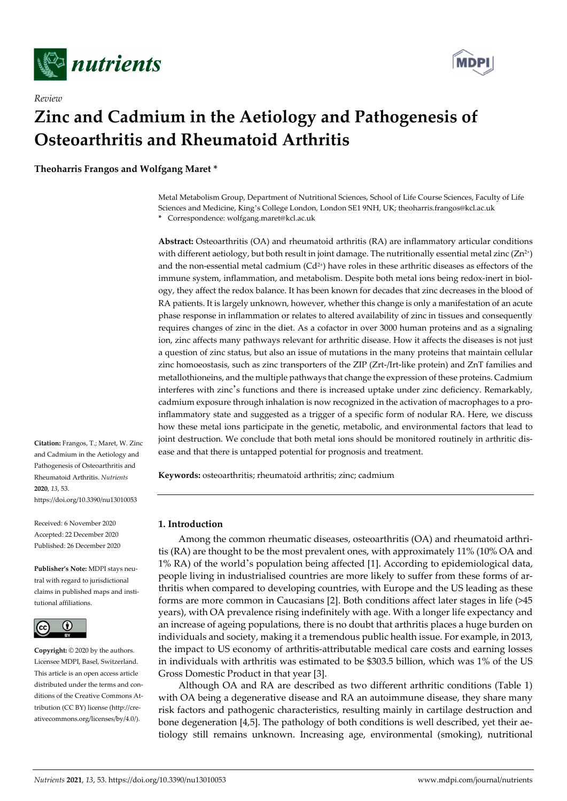

*Review* 



# **Zinc and Cadmium in the Aetiology and Pathogenesis of Osteoarthritis and Rheumatoid Arthritis**

**Theoharris Frangos and Wolfgang Maret \*** 

Metal Metabolism Group, Department of Nutritional Sciences, School of Life Course Sciences, Faculty of Life Sciences and Medicine, King's College London, London SE1 9NH, UK; theoharris.frangos@kcl.ac.uk **\*** Correspondence: wolfgang.maret@kcl.ac.uk

**Abstract:** Osteoarthritis (OA) and rheumatoid arthritis (RA) are inflammatory articular conditions with different aetiology, but both result in joint damage. The nutritionally essential metal zinc ( $Zn^{2+}$ ) and the non-essential metal cadmium  $(Cd^{2+})$  have roles in these arthritic diseases as effectors of the immune system, inflammation, and metabolism. Despite both metal ions being redox-inert in biology, they affect the redox balance. It has been known for decades that zinc decreases in the blood of RA patients. It is largely unknown, however, whether this change is only a manifestation of an acute phase response in inflammation or relates to altered availability of zinc in tissues and consequently requires changes of zinc in the diet. As a cofactor in over 3000 human proteins and as a signaling ion, zinc affects many pathways relevant for arthritic disease. How it affects the diseases is not just a question of zinc status, but also an issue of mutations in the many proteins that maintain cellular zinc homoeostasis, such as zinc transporters of the ZIP (Zrt-/Irt-like protein) and ZnT families and metallothioneins, and the multiple pathways that change the expression of these proteins. Cadmium interferes with zinc's functions and there is increased uptake under zinc deficiency. Remarkably, cadmium exposure through inhalation is now recognized in the activation of macrophages to a proinflammatory state and suggested as a trigger of a specific form of nodular RA. Here, we discuss how these metal ions participate in the genetic, metabolic, and environmental factors that lead to joint destruction. We conclude that both metal ions should be monitored routinely in arthritic disease and that there is untapped potential for prognosis and treatment.

**Keywords:** osteoarthritis; rheumatoid arthritis; zinc; cadmium

## **1. Introduction**

Among the common rheumatic diseases, osteoarthritis (OA) and rheumatoid arthritis (RA) are thought to be the most prevalent ones, with approximately 11% (10% OA and 1% RA) of the world's population being affected [1]. According to epidemiological data, people living in industrialised countries are more likely to suffer from these forms of arthritis when compared to developing countries, with Europe and the US leading as these forms are more common in Caucasians [2]. Both conditions affect later stages in life (>45 years), with OA prevalence rising indefinitely with age. With a longer life expectancy and an increase of ageing populations, there is no doubt that arthritis places a huge burden on individuals and society, making it a tremendous public health issue. For example, in 2013, the impact to US economy of arthritis-attributable medical care costs and earning losses in individuals with arthritis was estimated to be \$303.5 billion, which was 1% of the US Gross Domestic Product in that year [3].

Although OA and RA are described as two different arthritic conditions (Table 1) with OA being a degenerative disease and RA an autoimmune disease, they share many risk factors and pathogenic characteristics, resulting mainly in cartilage destruction and bone degeneration [4,5]. The pathology of both conditions is well described, yet their aetiology still remains unknown. Increasing age, environmental (smoking), nutritional

**Citation:** Frangos, T.; Maret, W. Zinc and Cadmium in the Aetiology and Pathogenesis of Osteoarthritis and Rheumatoid Arthritis. *Nutrients*  **2020**, *13*, 53. https://doi.org/10.3390/nu13010053

Received: 6 November 2020 Accepted: 22 December 2020 Published: 26 December 2020

**Publisher's Note:** MDPI stays neutral with regard to jurisdictional claims in published maps and institutional affiliations.



**Copyright:** © 2020 by the authors. Licensee MDPI, Basel, Switzerland. This article is an open access article distributed under the terms and conditions of the Creative Commons Attribution (CC BY) license (http://creativecommons.org/licenses/by/4.0/).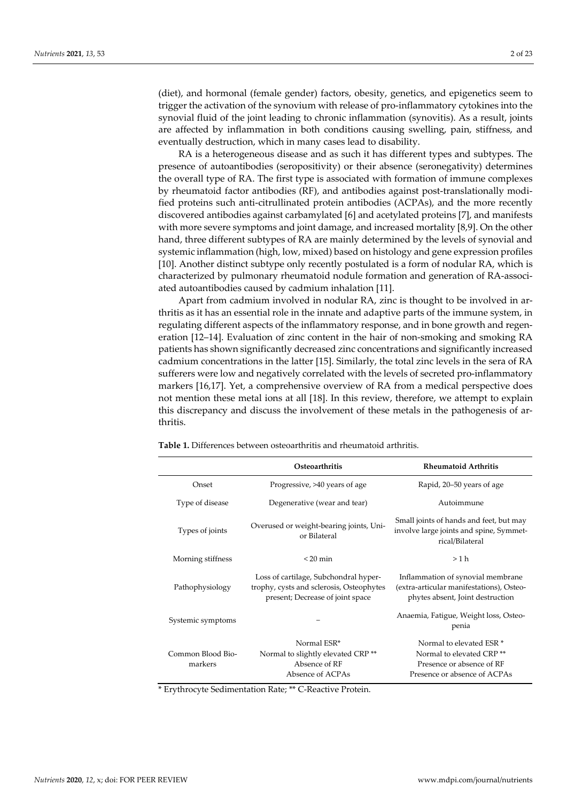(diet), and hormonal (female gender) factors, obesity, genetics, and epigenetics seem to trigger the activation of the synovium with release of pro-inflammatory cytokines into the synovial fluid of the joint leading to chronic inflammation (synovitis). As a result, joints are affected by inflammation in both conditions causing swelling, pain, stiffness, and eventually destruction, which in many cases lead to disability.

RA is a heterogeneous disease and as such it has different types and subtypes. The presence of autoantibodies (seropositivity) or their absence (seronegativity) determines the overall type of RA. The first type is associated with formation of immune complexes by rheumatoid factor antibodies (RF), and antibodies against post-translationally modified proteins such anti-citrullinated protein antibodies (ACPAs), and the more recently discovered antibodies against carbamylated [6] and acetylated proteins [7], and manifests with more severe symptoms and joint damage, and increased mortality [8,9]. On the other hand, three different subtypes of RA are mainly determined by the levels of synovial and systemic inflammation (high, low, mixed) based on histology and gene expression profiles [10]. Another distinct subtype only recently postulated is a form of nodular RA, which is characterized by pulmonary rheumatoid nodule formation and generation of RA-associated autoantibodies caused by cadmium inhalation [11].

Apart from cadmium involved in nodular RA, zinc is thought to be involved in arthritis as it has an essential role in the innate and adaptive parts of the immune system, in regulating different aspects of the inflammatory response, and in bone growth and regeneration [12–14]. Evaluation of zinc content in the hair of non-smoking and smoking RA patients has shown significantly decreased zinc concentrations and significantly increased cadmium concentrations in the latter [15]. Similarly, the total zinc levels in the sera of RA sufferers were low and negatively correlated with the levels of secreted pro-inflammatory markers [16,17]. Yet, a comprehensive overview of RA from a medical perspective does not mention these metal ions at all [18]. In this review, therefore, we attempt to explain this discrepancy and discuss the involvement of these metals in the pathogenesis of arthritis.

|                              | Osteoarthritis                                                                                                        | <b>Rheumatoid Arthritis</b>                                                                                                              |
|------------------------------|-----------------------------------------------------------------------------------------------------------------------|------------------------------------------------------------------------------------------------------------------------------------------|
| Onset                        | Progressive, >40 years of age                                                                                         | Rapid, 20–50 years of age                                                                                                                |
| Type of disease              | Degenerative (wear and tear)                                                                                          | Autoimmune                                                                                                                               |
| Types of joints              | Overused or weight-bearing joints, Uni-<br>or Bilateral                                                               | Small joints of hands and feet, but may<br>involve large joints and spine, Symmet-<br>rical/Bilateral                                    |
| Morning stiffness            | $< 20$ min                                                                                                            | >1 h                                                                                                                                     |
| Pathophysiology              | Loss of cartilage, Subchondral hyper-<br>trophy, cysts and sclerosis, Osteophytes<br>present; Decrease of joint space | Inflammation of synovial membrane<br>(extra-articular manifestations), Osteo-<br>phytes absent, Joint destruction                        |
| Systemic symptoms            |                                                                                                                       | Anaemia, Fatigue, Weight loss, Osteo-<br>penia                                                                                           |
| Common Blood Bio-<br>markers | Normal ESR*<br>Normal to slightly elevated CRP <sup>**</sup><br>Absence of RF<br>Absence of ACPAs                     | Normal to elevated ESR <sup>*</sup><br>Normal to elevated CRP <sup>**</sup><br>Presence or absence of RF<br>Presence or absence of ACPAs |
|                              |                                                                                                                       |                                                                                                                                          |

**Table 1.** Differences between osteoarthritis and rheumatoid arthritis.

\* Erythrocyte Sedimentation Rate; \*\* C-Reactive Protein.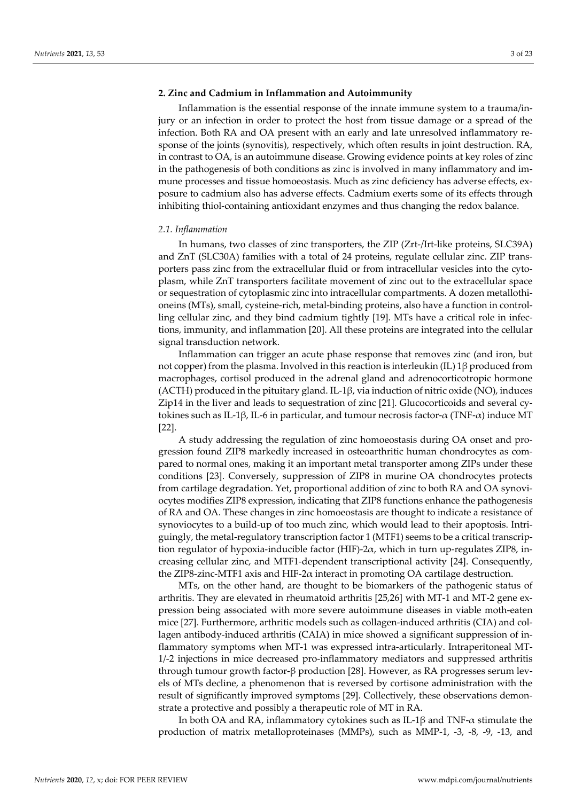## **2. Zinc and Cadmium in Inflammation and Autoimmunity**

Inflammation is the essential response of the innate immune system to a trauma/injury or an infection in order to protect the host from tissue damage or a spread of the infection. Both RA and OA present with an early and late unresolved inflammatory response of the joints (synovitis), respectively, which often results in joint destruction. RA, in contrast to OA, is an autoimmune disease. Growing evidence points at key roles of zinc in the pathogenesis of both conditions as zinc is involved in many inflammatory and immune processes and tissue homoeostasis. Much as zinc deficiency has adverse effects, exposure to cadmium also has adverse effects. Cadmium exerts some of its effects through inhibiting thiol-containing antioxidant enzymes and thus changing the redox balance.

#### *2.1. Inflammation*

In humans, two classes of zinc transporters, the ZIP (Zrt-/Irt-like proteins, SLC39A) and ZnT (SLC30A) families with a total of 24 proteins, regulate cellular zinc. ZIP transporters pass zinc from the extracellular fluid or from intracellular vesicles into the cytoplasm, while ZnT transporters facilitate movement of zinc out to the extracellular space or sequestration of cytoplasmic zinc into intracellular compartments. A dozen metallothioneins (MTs), small, cysteine-rich, metal-binding proteins, also have a function in controlling cellular zinc, and they bind cadmium tightly [19]. MTs have a critical role in infections, immunity, and inflammation [20]. All these proteins are integrated into the cellular signal transduction network.

Inflammation can trigger an acute phase response that removes zinc (and iron, but not copper) from the plasma. Involved in this reaction is interleukin (IL) 1β produced from macrophages, cortisol produced in the adrenal gland and adrenocorticotropic hormone (ACTH) produced in the pituitary gland. IL-1β, via induction of nitric oxide (NO), induces Zip14 in the liver and leads to sequestration of zinc [21]. Glucocorticoids and several cytokines such as IL-1β, IL-6 in particular, and tumour necrosis factor- $\alpha$  (TNF- $\alpha$ ) induce MT [22].

A study addressing the regulation of zinc homoeostasis during OA onset and progression found ZIP8 markedly increased in osteoarthritic human chondrocytes as compared to normal ones, making it an important metal transporter among ZIPs under these conditions [23]. Conversely, suppression of ZIP8 in murine OA chondrocytes protects from cartilage degradation. Yet, proportional addition of zinc to both RA and OA synoviocytes modifies ZIP8 expression, indicating that ZIP8 functions enhance the pathogenesis of RA and OA. These changes in zinc homoeostasis are thought to indicate a resistance of synoviocytes to a build-up of too much zinc, which would lead to their apoptosis. Intriguingly, the metal-regulatory transcription factor 1 (MTF1) seems to be a critical transcription regulator of hypoxia-inducible factor (HIF)-2 $\alpha$ , which in turn up-regulates ZIP8, increasing cellular zinc, and MTF1-dependent transcriptional activity [24]. Consequently, the ZIP8-zinc-MTF1 axis and HIF-2 $\alpha$  interact in promoting OA cartilage destruction.

MTs, on the other hand, are thought to be biomarkers of the pathogenic status of arthritis. They are elevated in rheumatoid arthritis [25,26] with MT-1 and MT-2 gene expression being associated with more severe autoimmune diseases in viable moth-eaten mice [27]. Furthermore, arthritic models such as collagen-induced arthritis (CIA) and collagen antibody-induced arthritis (CAIA) in mice showed a significant suppression of inflammatory symptoms when MT-1 was expressed intra-articularly. Intraperitoneal MT-1/-2 injections in mice decreased pro-inflammatory mediators and suppressed arthritis through tumour growth factor-β production [28]. However, as RA progresses serum levels of MTs decline, a phenomenon that is reversed by cortisone administration with the result of significantly improved symptoms [29]. Collectively, these observations demonstrate a protective and possibly a therapeutic role of MT in RA.

In both OA and RA, inflammatory cytokines such as IL-1 $\beta$  and TNF- $\alpha$  stimulate the production of matrix metalloproteinases (MMPs), such as MMP-1, -3, -8, -9, -13, and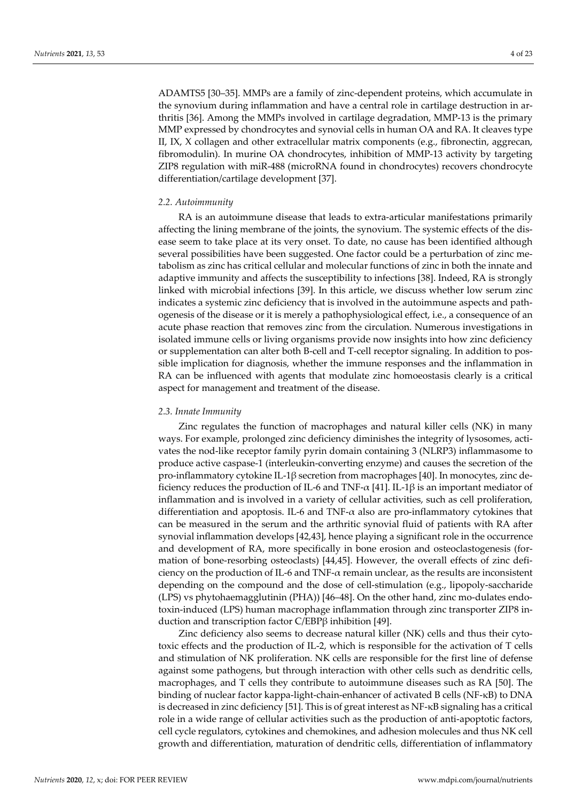ADAMTS5 [30–35]. MMPs are a family of zinc-dependent proteins, which accumulate in the synovium during inflammation and have a central role in cartilage destruction in arthritis [36]. Among the MMPs involved in cartilage degradation, MMP-13 is the primary MMP expressed by chondrocytes and synovial cells in human OA and RA. It cleaves type II, IX, X collagen and other extracellular matrix components (e.g., fibronectin, aggrecan, fibromodulin). In murine OA chondrocytes, inhibition of MMP-13 activity by targeting ZIP8 regulation with miR-488 (microRNA found in chondrocytes) recovers chondrocyte differentiation/cartilage development [37].

## *2.2. Autoimmunity*

RA is an autoimmune disease that leads to extra-articular manifestations primarily affecting the lining membrane of the joints, the synovium. The systemic effects of the disease seem to take place at its very onset. To date, no cause has been identified although several possibilities have been suggested. One factor could be a perturbation of zinc metabolism as zinc has critical cellular and molecular functions of zinc in both the innate and adaptive immunity and affects the susceptibility to infections [38]. Indeed, RA is strongly linked with microbial infections [39]. In this article, we discuss whether low serum zinc indicates a systemic zinc deficiency that is involved in the autoimmune aspects and pathogenesis of the disease or it is merely a pathophysiological effect, i.e., a consequence of an acute phase reaction that removes zinc from the circulation. Numerous investigations in isolated immune cells or living organisms provide now insights into how zinc deficiency or supplementation can alter both B-cell and T-cell receptor signaling. In addition to possible implication for diagnosis, whether the immune responses and the inflammation in RA can be influenced with agents that modulate zinc homoeostasis clearly is a critical aspect for management and treatment of the disease.

## *2.3. Innate Immunity*

Zinc regulates the function of macrophages and natural killer cells (NK) in many ways. For example, prolonged zinc deficiency diminishes the integrity of lysosomes, activates the nod-like receptor family pyrin domain containing 3 (NLRP3) inflammasome to produce active caspase-1 (interleukin-converting enzyme) and causes the secretion of the pro-inflammatory cytokine IL-1β secretion from macrophages [40]. In monocytes, zinc deficiency reduces the production of IL-6 and TNF- $\alpha$  [41]. IL-1 $\beta$  is an important mediator of inflammation and is involved in a variety of cellular activities, such as cell proliferation, differentiation and apoptosis. IL-6 and TNF-α also are pro-inflammatory cytokines that can be measured in the serum and the arthritic synovial fluid of patients with RA after synovial inflammation develops [42,43], hence playing a significant role in the occurrence and development of RA, more specifically in bone erosion and osteoclastogenesis (formation of bone-resorbing osteoclasts) [44,45]. However, the overall effects of zinc deficiency on the production of IL-6 and TNF- $\alpha$  remain unclear, as the results are inconsistent depending on the compound and the dose of cell-stimulation (e.g., lipopoly-saccharide (LPS) vs phytohaemagglutinin (PHA)) [46–48]. On the other hand, zinc mo-dulates endotoxin-induced (LPS) human macrophage inflammation through zinc transporter ZIP8 induction and transcription factor C/EBPβ inhibition [49].

Zinc deficiency also seems to decrease natural killer (NK) cells and thus their cytotoxic effects and the production of IL-2, which is responsible for the activation of T cells and stimulation of NK proliferation. NK cells are responsible for the first line of defense against some pathogens, but through interaction with other cells such as dendritic cells, macrophages, and T cells they contribute to autoimmune diseases such as RA [50]. The binding of nuclear factor kappa-light-chain-enhancer of activated B cells (NF-κB) to DNA is decreased in zinc deficiency [51]. This is of great interest as NF-κB signaling has a critical role in a wide range of cellular activities such as the production of anti-apoptotic factors, cell cycle regulators, cytokines and chemokines, and adhesion molecules and thus NK cell growth and differentiation, maturation of dendritic cells, differentiation of inflammatory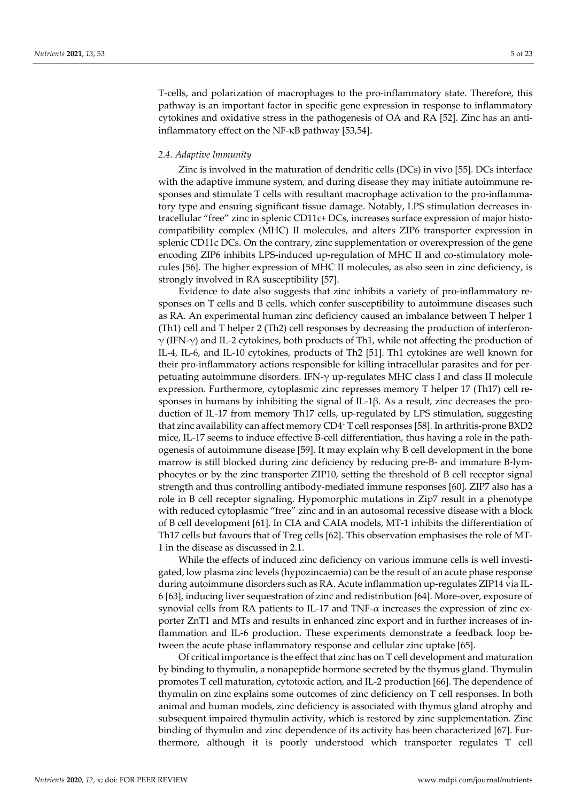T-cells, and polarization of macrophages to the pro-inflammatory state. Therefore, this pathway is an important factor in specific gene expression in response to inflammatory cytokines and oxidative stress in the pathogenesis of OA and RA [52]. Zinc has an antiinflammatory effect on the NF-κB pathway [53,54].

## *2.4. Adaptive Immunity*

Zinc is involved in the maturation of dendritic cells (DCs) in vivo [55]. DCs interface with the adaptive immune system, and during disease they may initiate autoimmune responses and stimulate T cells with resultant macrophage activation to the pro-inflammatory type and ensuing significant tissue damage. Notably, LPS stimulation decreases intracellular "free" zinc in splenic CD11c+ DCs, increases surface expression of major histocompatibility complex (MHC) II molecules, and alters ZIP6 transporter expression in splenic CD11c DCs. On the contrary, zinc supplementation or overexpression of the gene encoding ZIP6 inhibits LPS-induced up-regulation of MHC II and co-stimulatory molecules [56]. The higher expression of MHC II molecules, as also seen in zinc deficiency, is strongly involved in RA susceptibility [57].

Evidence to date also suggests that zinc inhibits a variety of pro-inflammatory responses on T cells and B cells, which confer susceptibility to autoimmune diseases such as RA. An experimental human zinc deficiency caused an imbalance between T helper 1 (Th1) cell and T helper 2 (Th2) cell responses by decreasing the production of interferon- $\gamma$  (IFN- $\gamma$ ) and IL-2 cytokines, both products of Th1, while not affecting the production of IL-4, IL-6, and IL-10 cytokines, products of Th2 [51]. Th1 cytokines are well known for their pro-inflammatory actions responsible for killing intracellular parasites and for perpetuating autoimmune disorders. IFN-γ up-regulates MHC class I and class II molecule expression. Furthermore, cytoplasmic zinc represses memory T helper 17 (Th17) cell responses in humans by inhibiting the signal of IL-1β. As a result, zinc decreases the production of IL-17 from memory Th17 cells, up-regulated by LPS stimulation, suggesting that zinc availability can affect memory CD4+ T cell responses [58]. In arthritis-prone BXD2 mice, IL-17 seems to induce effective B-cell differentiation, thus having a role in the pathogenesis of autoimmune disease [59]. It may explain why B cell development in the bone marrow is still blocked during zinc deficiency by reducing pre-B- and immature B-lymphocytes or by the zinc transporter ZIP10, setting the threshold of B cell receptor signal strength and thus controlling antibody-mediated immune responses [60]. ZIP7 also has a role in B cell receptor signaling. Hypomorphic mutations in Zip7 result in a phenotype with reduced cytoplasmic "free" zinc and in an autosomal recessive disease with a block of B cell development [61]. In CIA and CAIA models, MT-1 inhibits the differentiation of Th17 cells but favours that of Treg cells [62]. This observation emphasises the role of MT-1 in the disease as discussed in 2.1.

While the effects of induced zinc deficiency on various immune cells is well investigated, low plasma zinc levels (hypozincaemia) can be the result of an acute phase response during autoimmune disorders such as RA. Acute inflammation up-regulates ZIP14 via IL-6 [63], inducing liver sequestration of zinc and redistribution [64]. More-over, exposure of synovial cells from RA patients to IL-17 and  $TNF-\alpha$  increases the expression of zinc exporter ZnT1 and MTs and results in enhanced zinc export and in further increases of inflammation and IL-6 production. These experiments demonstrate a feedback loop between the acute phase inflammatory response and cellular zinc uptake [65].

Of critical importance is the effect that zinc has on T cell development and maturation by binding to thymulin, a nonapeptide hormone secreted by the thymus gland. Thymulin promotes T cell maturation, cytotoxic action, and IL-2 production [66]. The dependence of thymulin on zinc explains some outcomes of zinc deficiency on T cell responses. In both animal and human models, zinc deficiency is associated with thymus gland atrophy and subsequent impaired thymulin activity, which is restored by zinc supplementation. Zinc binding of thymulin and zinc dependence of its activity has been characterized [67]. Furthermore, although it is poorly understood which transporter regulates T cell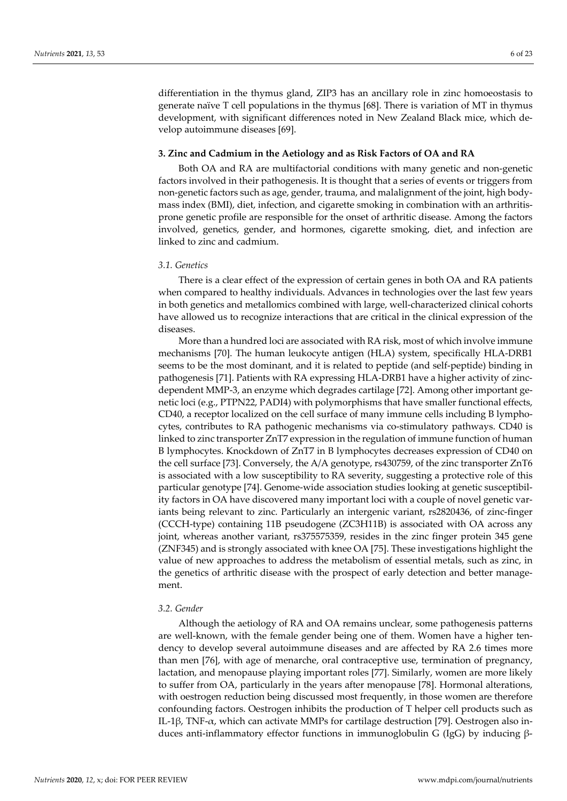differentiation in the thymus gland, ZIP3 has an ancillary role in zinc homoeostasis to generate naïve T cell populations in the thymus [68]. There is variation of MT in thymus development, with significant differences noted in New Zealand Black mice, which develop autoimmune diseases [69].

## **3. Zinc and Cadmium in the Aetiology and as Risk Factors of OA and RA**

Both OA and RA are multifactorial conditions with many genetic and non-genetic factors involved in their pathogenesis. It is thought that a series of events or triggers from non-genetic factors such as age, gender, trauma, and malalignment of the joint, high bodymass index (BMI), diet, infection, and cigarette smoking in combination with an arthritisprone genetic profile are responsible for the onset of arthritic disease. Among the factors involved, genetics, gender, and hormones, cigarette smoking, diet, and infection are linked to zinc and cadmium.

# *3.1. Genetics*

There is a clear effect of the expression of certain genes in both OA and RA patients when compared to healthy individuals. Advances in technologies over the last few years in both genetics and metallomics combined with large, well-characterized clinical cohorts have allowed us to recognize interactions that are critical in the clinical expression of the diseases.

More than a hundred loci are associated with RA risk, most of which involve immune mechanisms [70]. The human leukocyte antigen (HLA) system, specifically HLA-DRB1 seems to be the most dominant, and it is related to peptide (and self-peptide) binding in pathogenesis [71]. Patients with RA expressing HLA-DRB1 have a higher activity of zincdependent MMP-3, an enzyme which degrades cartilage [72]. Among other important genetic loci (e.g., PTPN22, PADI4) with polymorphisms that have smaller functional effects, CD40, a receptor localized on the cell surface of many immune cells including B lymphocytes, contributes to RA pathogenic mechanisms via co-stimulatory pathways. CD40 is linked to zinc transporter ZnT7 expression in the regulation of immune function of human B lymphocytes. Knockdown of ZnT7 in B lymphocytes decreases expression of CD40 on the cell surface [73]. Conversely, the A/A genotype, rs430759, of the zinc transporter ZnT6 is associated with a low susceptibility to RA severity, suggesting a protective role of this particular genotype [74]. Genome-wide association studies looking at genetic susceptibility factors in OA have discovered many important loci with a couple of novel genetic variants being relevant to zinc. Particularly an intergenic variant, rs2820436, of zinc-finger (CCCH-type) containing 11B pseudogene (ZC3H11B) is associated with OA across any joint, whereas another variant, rs375575359, resides in the zinc finger protein 345 gene (ZNF345) and is strongly associated with knee OA [75]. These investigations highlight the value of new approaches to address the metabolism of essential metals, such as zinc, in the genetics of arthritic disease with the prospect of early detection and better management.

# *3.2. Gender*

Although the aetiology of RA and OA remains unclear, some pathogenesis patterns are well-known, with the female gender being one of them. Women have a higher tendency to develop several autoimmune diseases and are affected by RA 2.6 times more than men [76], with age of menarche, oral contraceptive use, termination of pregnancy, lactation, and menopause playing important roles [77]. Similarly, women are more likely to suffer from OA, particularly in the years after menopause [78]. Hormonal alterations, with oestrogen reduction being discussed most frequently, in those women are therefore confounding factors. Oestrogen inhibits the production of T helper cell products such as IL-1β, TNF-α, which can activate MMPs for cartilage destruction [79]. Oestrogen also induces anti-inflammatory effector functions in immunoglobulin G (IgG) by inducing β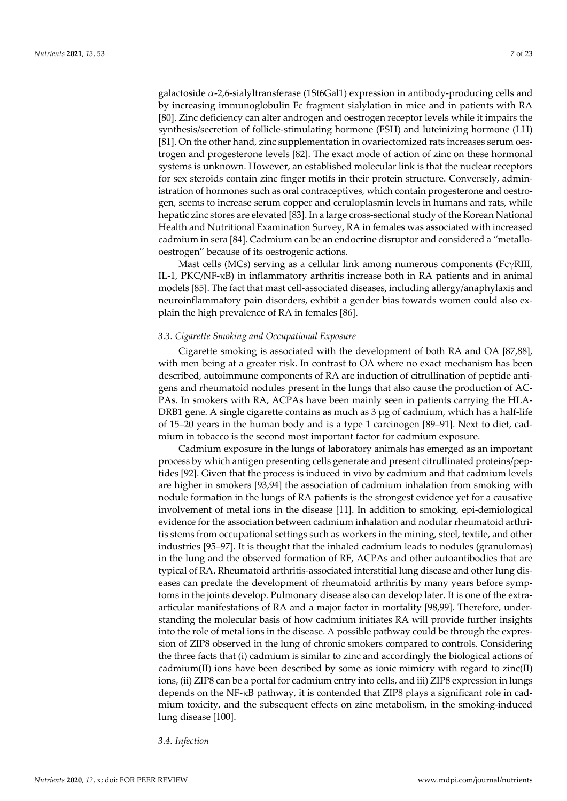galactoside  $\alpha$ -2,6-sialyltransferase (1St6Gal1) expression in antibody-producing cells and by increasing immunoglobulin Fc fragment sialylation in mice and in patients with RA [80]. Zinc deficiency can alter androgen and oestrogen receptor levels while it impairs the synthesis/secretion of follicle-stimulating hormone (FSH) and luteinizing hormone (LH) [81]. On the other hand, zinc supplementation in ovariectomized rats increases serum oestrogen and progesterone levels [82]. The exact mode of action of zinc on these hormonal systems is unknown. However, an established molecular link is that the nuclear receptors for sex steroids contain zinc finger motifs in their protein structure. Conversely, administration of hormones such as oral contraceptives, which contain progesterone and oestrogen, seems to increase serum copper and ceruloplasmin levels in humans and rats, while hepatic zinc stores are elevated [83]. In a large cross-sectional study of the Korean National Health and Nutritional Examination Survey, RA in females was associated with increased cadmium in sera [84]. Cadmium can be an endocrine disruptor and considered a "metallooestrogen" because of its oestrogenic actions.

Mast cells (MCs) serving as a cellular link among numerous components (FcγRIII, IL-1, PKC/NF-κB) in inflammatory arthritis increase both in RA patients and in animal models [85]. The fact that mast cell-associated diseases, including allergy/anaphylaxis and neuroinflammatory pain disorders, exhibit a gender bias towards women could also explain the high prevalence of RA in females [86].

## *3.3. Cigarette Smoking and Occupational Exposure*

Cigarette smoking is associated with the development of both RA and OA [87,88], with men being at a greater risk. In contrast to OA where no exact mechanism has been described, autoimmune components of RA are induction of citrullination of peptide antigens and rheumatoid nodules present in the lungs that also cause the production of AC-PAs. In smokers with RA, ACPAs have been mainly seen in patients carrying the HLA-DRB1 gene. A single cigarette contains as much as  $3 \mu$ g of cadmium, which has a half-life of 15–20 years in the human body and is a type 1 carcinogen [89–91]. Next to diet, cadmium in tobacco is the second most important factor for cadmium exposure.

Cadmium exposure in the lungs of laboratory animals has emerged as an important process by which antigen presenting cells generate and present citrullinated proteins/peptides [92]. Given that the process is induced in vivo by cadmium and that cadmium levels are higher in smokers [93,94] the association of cadmium inhalation from smoking with nodule formation in the lungs of RA patients is the strongest evidence yet for a causative involvement of metal ions in the disease [11]. In addition to smoking, epi-demiological evidence for the association between cadmium inhalation and nodular rheumatoid arthritis stems from occupational settings such as workers in the mining, steel, textile, and other industries [95–97]. It is thought that the inhaled cadmium leads to nodules (granulomas) in the lung and the observed formation of RF, ACPAs and other autoantibodies that are typical of RA. Rheumatoid arthritis-associated interstitial lung disease and other lung diseases can predate the development of rheumatoid arthritis by many years before symptoms in the joints develop. Pulmonary disease also can develop later. It is one of the extraarticular manifestations of RA and a major factor in mortality [98,99]. Therefore, understanding the molecular basis of how cadmium initiates RA will provide further insights into the role of metal ions in the disease. A possible pathway could be through the expression of ZIP8 observed in the lung of chronic smokers compared to controls. Considering the three facts that (i) cadmium is similar to zinc and accordingly the biological actions of cadmium(II) ions have been described by some as ionic mimicry with regard to zinc(II) ions, (ii) ZIP8 can be a portal for cadmium entry into cells, and iii) ZIP8 expression in lungs depends on the NF-κB pathway, it is contended that ZIP8 plays a significant role in cadmium toxicity, and the subsequent effects on zinc metabolism, in the smoking-induced lung disease [100].

*3.4. Infection*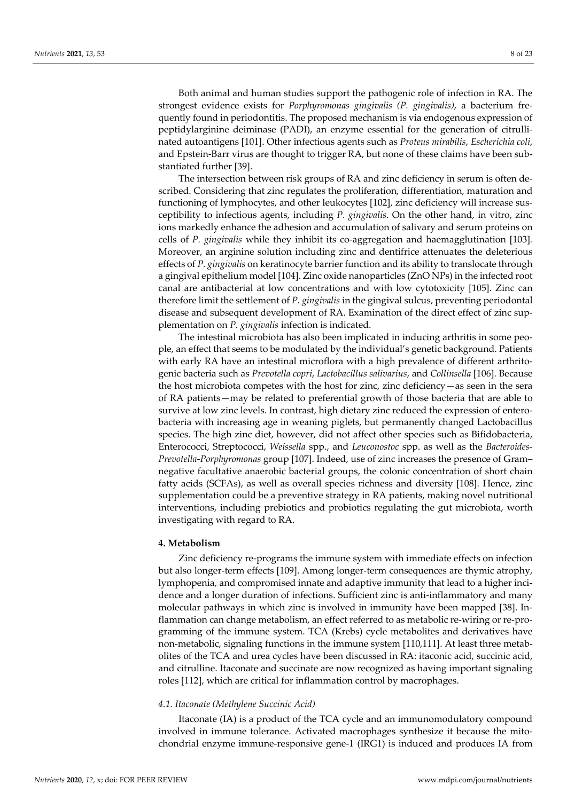Both animal and human studies support the pathogenic role of infection in RA. The strongest evidence exists for *Porphyromonas gingivalis (P. gingivalis)*, a bacterium frequently found in periodontitis. The proposed mechanism is via endogenous expression of peptidylarginine deiminase (PADI), an enzyme essential for the generation of citrullinated autoantigens [101]. Other infectious agents such as *Proteus mirabilis*, *Escherichia coli*, and Epstein-Barr virus are thought to trigger RA, but none of these claims have been substantiated further [39].

The intersection between risk groups of RA and zinc deficiency in serum is often described. Considering that zinc regulates the proliferation, differentiation, maturation and functioning of lymphocytes, and other leukocytes [102], zinc deficiency will increase susceptibility to infectious agents, including *P. gingivalis*. On the other hand, in vitro, zinc ions markedly enhance the adhesion and accumulation of salivary and serum proteins on cells of *P. gingivalis* while they inhibit its co-aggregation and haemagglutination [103]*.* Moreover, an arginine solution including zinc and dentifrice attenuates the deleterious effects of *P. gingivalis* on keratinocyte barrier function and its ability to translocate through a gingival epithelium model [104]. Zinc oxide nanoparticles (ZnO NPs) in the infected root canal are antibacterial at low concentrations and with low cytotoxicity [105]. Zinc can therefore limit the settlement of *P. gingivalis* in the gingival sulcus, preventing periodontal disease and subsequent development of RA. Examination of the direct effect of zinc supplementation on *P. gingivalis* infection is indicated.

The intestinal microbiota has also been implicated in inducing arthritis in some people, an effect that seems to be modulated by the individual's genetic background. Patients with early RA have an intestinal microflora with a high prevalence of different arthritogenic bacteria such as *Prevotella copri*, *Lactobacillus salivarius*, and *Collinsella* [106]. Because the host microbiota competes with the host for zinc, zinc deficiency—as seen in the sera of RA patients—may be related to preferential growth of those bacteria that are able to survive at low zinc levels. In contrast, high dietary zinc reduced the expression of enterobacteria with increasing age in weaning piglets, but permanently changed Lactobacillus species. The high zinc diet, however, did not affect other species such as Bifidobacteria, Enterococci, Streptococci, *Weissella* spp., and *Leuconostoc* spp. as well as the *Bacteroides*-*Prevotella*-*Porphyromonas* group [107]. Indeed, use of zinc increases the presence of Gram– negative facultative anaerobic bacterial groups, the colonic concentration of short chain fatty acids (SCFAs), as well as overall species richness and diversity [108]. Hence, zinc supplementation could be a preventive strategy in RA patients, making novel nutritional interventions, including prebiotics and probiotics regulating the gut microbiota, worth investigating with regard to RA.

## **4. Metabolism**

Zinc deficiency re-programs the immune system with immediate effects on infection but also longer-term effects [109]. Among longer-term consequences are thymic atrophy, lymphopenia, and compromised innate and adaptive immunity that lead to a higher incidence and a longer duration of infections. Sufficient zinc is anti-inflammatory and many molecular pathways in which zinc is involved in immunity have been mapped [38]. Inflammation can change metabolism, an effect referred to as metabolic re-wiring or re-programming of the immune system. TCA (Krebs) cycle metabolites and derivatives have non-metabolic, signaling functions in the immune system [110,111]. At least three metabolites of the TCA and urea cycles have been discussed in RA: itaconic acid, succinic acid, and citrulline. Itaconate and succinate are now recognized as having important signaling roles [112], which are critical for inflammation control by macrophages.

## *4.1. Itaconate (Methylene Succinic Acid)*

Itaconate (IA) is a product of the TCA cycle and an immunomodulatory compound involved in immune tolerance. Activated macrophages synthesize it because the mitochondrial enzyme immune-responsive gene-1 (IRG1) is induced and produces IA from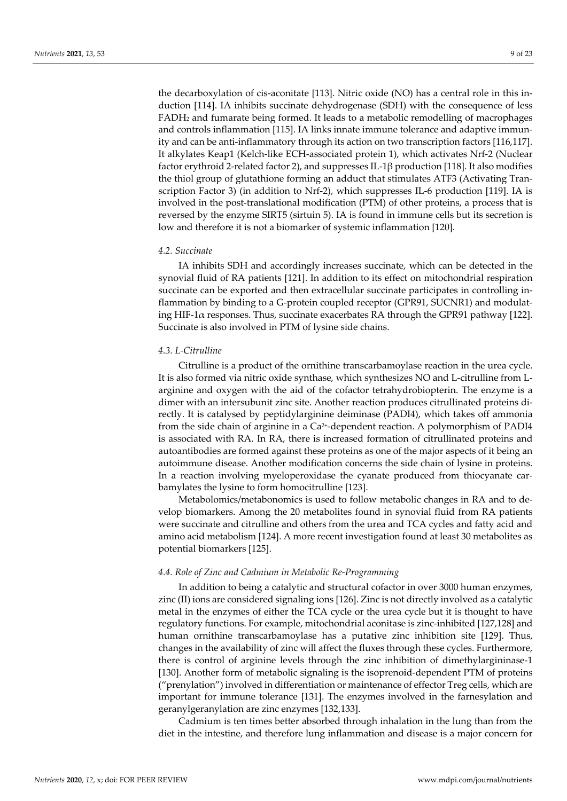the decarboxylation of cis-aconitate [113]. Nitric oxide (NO) has a central role in this induction [114]. IA inhibits succinate dehydrogenase (SDH) with the consequence of less FADH2 and fumarate being formed. It leads to a metabolic remodelling of macrophages and controls inflammation [115]. IA links innate immune tolerance and adaptive immunity and can be anti-inflammatory through its action on two transcription factors [116,117]. It alkylates Keap1 (Kelch-like ECH-associated protein 1), which activates Nrf-2 (Nuclear factor erythroid 2-related factor 2), and suppresses IL-1β production [118]. It also modifies the thiol group of glutathione forming an adduct that stimulates ATF3 (Activating Transcription Factor 3) (in addition to Nrf-2), which suppresses IL-6 production [119]. IA is involved in the post-translational modification (PTM) of other proteins, a process that is reversed by the enzyme SIRT5 (sirtuin 5). IA is found in immune cells but its secretion is low and therefore it is not a biomarker of systemic inflammation [120].

#### *4.2. Succinate*

IA inhibits SDH and accordingly increases succinate, which can be detected in the synovial fluid of RA patients [121]. In addition to its effect on mitochondrial respiration succinate can be exported and then extracellular succinate participates in controlling inflammation by binding to a G-protein coupled receptor (GPR91, SUCNR1) and modulating HIF-1 $\alpha$  responses. Thus, succinate exacerbates RA through the GPR91 pathway [122]. Succinate is also involved in PTM of lysine side chains.

## *4.3. L-Citrulline*

Citrulline is a product of the ornithine transcarbamoylase reaction in the urea cycle. It is also formed via nitric oxide synthase, which synthesizes NO and L-citrulline from Larginine and oxygen with the aid of the cofactor tetrahydrobiopterin. The enzyme is a dimer with an intersubunit zinc site. Another reaction produces citrullinated proteins directly. It is catalysed by peptidylarginine deiminase (PADI4), which takes off ammonia from the side chain of arginine in a  $Ca<sup>2+</sup>$ -dependent reaction. A polymorphism of PADI4 is associated with RA. In RA, there is increased formation of citrullinated proteins and autoantibodies are formed against these proteins as one of the major aspects of it being an autoimmune disease. Another modification concerns the side chain of lysine in proteins. In a reaction involving myeloperoxidase the cyanate produced from thiocyanate carbamylates the lysine to form homocitrulline [123].

Metabolomics/metabonomics is used to follow metabolic changes in RA and to develop biomarkers. Among the 20 metabolites found in synovial fluid from RA patients were succinate and citrulline and others from the urea and TCA cycles and fatty acid and amino acid metabolism [124]. A more recent investigation found at least 30 metabolites as potential biomarkers [125].

## *4.4. Role of Zinc and Cadmium in Metabolic Re-Programming*

In addition to being a catalytic and structural cofactor in over 3000 human enzymes, zinc (II) ions are considered signaling ions [126]. Zinc is not directly involved as a catalytic metal in the enzymes of either the TCA cycle or the urea cycle but it is thought to have regulatory functions. For example, mitochondrial aconitase is zinc-inhibited [127,128] and human ornithine transcarbamoylase has a putative zinc inhibition site [129]. Thus, changes in the availability of zinc will affect the fluxes through these cycles. Furthermore, there is control of arginine levels through the zinc inhibition of dimethylargininase-1 [130]. Another form of metabolic signaling is the isoprenoid-dependent PTM of proteins ("prenylation") involved in differentiation or maintenance of effector Treg cells, which are important for immune tolerance [131]. The enzymes involved in the farnesylation and geranylgeranylation are zinc enzymes [132,133].

Cadmium is ten times better absorbed through inhalation in the lung than from the diet in the intestine, and therefore lung inflammation and disease is a major concern for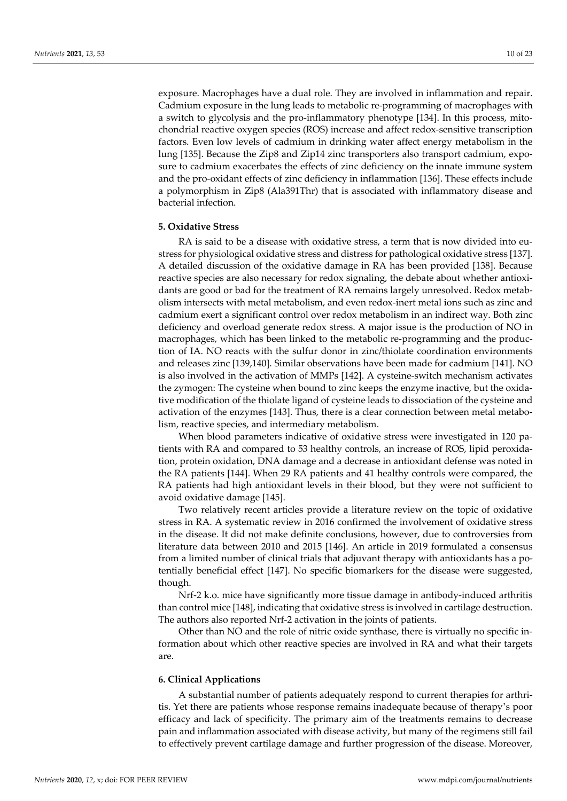exposure. Macrophages have a dual role. They are involved in inflammation and repair. Cadmium exposure in the lung leads to metabolic re-programming of macrophages with a switch to glycolysis and the pro-inflammatory phenotype [134]. In this process, mitochondrial reactive oxygen species (ROS) increase and affect redox-sensitive transcription factors. Even low levels of cadmium in drinking water affect energy metabolism in the lung [135]. Because the Zip8 and Zip14 zinc transporters also transport cadmium, exposure to cadmium exacerbates the effects of zinc deficiency on the innate immune system and the pro-oxidant effects of zinc deficiency in inflammation [136]. These effects include a polymorphism in Zip8 (Ala391Thr) that is associated with inflammatory disease and bacterial infection.

#### **5. Oxidative Stress**

RA is said to be a disease with oxidative stress, a term that is now divided into eustress for physiological oxidative stress and distress for pathological oxidative stress [137]. A detailed discussion of the oxidative damage in RA has been provided [138]. Because reactive species are also necessary for redox signaling, the debate about whether antioxidants are good or bad for the treatment of RA remains largely unresolved. Redox metabolism intersects with metal metabolism, and even redox-inert metal ions such as zinc and cadmium exert a significant control over redox metabolism in an indirect way. Both zinc deficiency and overload generate redox stress. A major issue is the production of NO in macrophages, which has been linked to the metabolic re-programming and the production of IA. NO reacts with the sulfur donor in zinc/thiolate coordination environments and releases zinc [139,140]. Similar observations have been made for cadmium [141]. NO is also involved in the activation of MMPs [142]. A cysteine-switch mechanism activates the zymogen: The cysteine when bound to zinc keeps the enzyme inactive, but the oxidative modification of the thiolate ligand of cysteine leads to dissociation of the cysteine and activation of the enzymes [143]. Thus, there is a clear connection between metal metabolism, reactive species, and intermediary metabolism.

When blood parameters indicative of oxidative stress were investigated in 120 patients with RA and compared to 53 healthy controls, an increase of ROS, lipid peroxidation, protein oxidation, DNA damage and a decrease in antioxidant defense was noted in the RA patients [144]. When 29 RA patients and 41 healthy controls were compared, the RA patients had high antioxidant levels in their blood, but they were not sufficient to avoid oxidative damage [145].

Two relatively recent articles provide a literature review on the topic of oxidative stress in RA. A systematic review in 2016 confirmed the involvement of oxidative stress in the disease. It did not make definite conclusions, however, due to controversies from literature data between 2010 and 2015 [146]. An article in 2019 formulated a consensus from a limited number of clinical trials that adjuvant therapy with antioxidants has a potentially beneficial effect [147]. No specific biomarkers for the disease were suggested, though.

Nrf-2 k.o. mice have significantly more tissue damage in antibody-induced arthritis than control mice [148], indicating that oxidative stress is involved in cartilage destruction. The authors also reported Nrf-2 activation in the joints of patients.

Other than NO and the role of nitric oxide synthase, there is virtually no specific information about which other reactive species are involved in RA and what their targets are.

## **6. Clinical Applications**

A substantial number of patients adequately respond to current therapies for arthritis. Yet there are patients whose response remains inadequate because of therapy's poor efficacy and lack of specificity. The primary aim of the treatments remains to decrease pain and inflammation associated with disease activity, but many of the regimens still fail to effectively prevent cartilage damage and further progression of the disease. Moreover,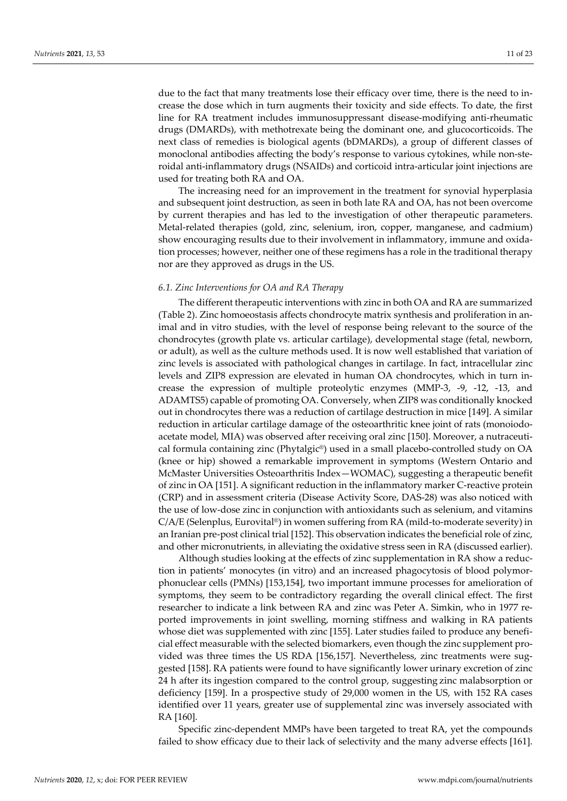due to the fact that many treatments lose their efficacy over time, there is the need to increase the dose which in turn augments their toxicity and side effects. To date, the first line for RA treatment includes immunosuppressant disease-modifying anti-rheumatic drugs (DMARDs), with methotrexate being the dominant one, and glucocorticoids. The next class of remedies is biological agents (bDMARDs), a group of different classes of monoclonal antibodies affecting the body's response to various cytokines, while non-steroidal anti-inflammatory drugs (NSAIDs) and corticoid intra-articular joint injections are used for treating both RA and OA.

The increasing need for an improvement in the treatment for synovial hyperplasia and subsequent joint destruction, as seen in both late RA and OA, has not been overcome by current therapies and has led to the investigation of other therapeutic parameters. Metal-related therapies (gold, zinc, selenium, iron, copper, manganese, and cadmium) show encouraging results due to their involvement in inflammatory, immune and oxidation processes; however, neither one of these regimens has a role in the traditional therapy nor are they approved as drugs in the US.

## *6.1. Zinc Interventions for OA and RA Therapy*

The different therapeutic interventions with zinc in both OA and RA are summarized (Table 2). Zinc homoeostasis affects chondrocyte matrix synthesis and proliferation in animal and in vitro studies, with the level of response being relevant to the source of the chondrocytes (growth plate vs. articular cartilage), developmental stage (fetal, newborn, or adult), as well as the culture methods used. It is now well established that variation of zinc levels is associated with pathological changes in cartilage. In fact, intracellular zinc levels and ZIP8 expression are elevated in human OA chondrocytes, which in turn increase the expression of multiple proteolytic enzymes (MMP-3, -9, -12, -13, and ADAMTS5) capable of promoting OA. Conversely, when ZIP8 was conditionally knocked out in chondrocytes there was a reduction of cartilage destruction in mice [149]. A similar reduction in articular cartilage damage of the osteoarthritic knee joint of rats (monoiodoacetate model, MIA) was observed after receiving oral zinc [150]. Moreover, a nutraceutical formula containing zinc (Phytalgic®) used in a small placebo-controlled study on OA (knee or hip) showed a remarkable improvement in symptoms (Western Ontario and McMaster Universities Osteoarthritis Index—WOMAC), suggesting a therapeutic benefit of zinc in OA [151]. A significant reduction in the inflammatory marker C-reactive protein (CRP) and in assessment criteria (Disease Activity Score, DAS-28) was also noticed with the use of low-dose zinc in conjunction with antioxidants such as selenium, and vitamins  $C/A/E$  (Selenplus, Eurovital<sup>®</sup>) in women suffering from RA (mild-to-moderate severity) in an Iranian pre-post clinical trial [152]. This observation indicates the beneficial role of zinc, and other micronutrients, in alleviating the oxidative stress seen in RA (discussed earlier).

Although studies looking at the effects of zinc supplementation in RA show a reduction in patients' monocytes (in vitro) and an increased phagocytosis of blood polymorphonuclear cells (PMNs) [153,154], two important immune processes for amelioration of symptoms, they seem to be contradictory regarding the overall clinical effect. The first researcher to indicate a link between RA and zinc was Peter A. Simkin, who in 1977 reported improvements in joint swelling, morning stiffness and walking in RA patients whose diet was supplemented with zinc [155]. Later studies failed to produce any beneficial effect measurable with the selected biomarkers, even though the zinc supplement provided was three times the US RDA [156,157]. Nevertheless, zinc treatments were suggested [158]. RA patients were found to have significantly lower urinary excretion of zinc 24 h after its ingestion compared to the control group, suggesting zinc malabsorption or deficiency [159]. In a prospective study of 29,000 women in the US, with 152 RA cases identified over 11 years, greater use of supplemental zinc was inversely associated with RA [160].

Specific zinc-dependent MMPs have been targeted to treat RA, yet the compounds failed to show efficacy due to their lack of selectivity and the many adverse effects [161].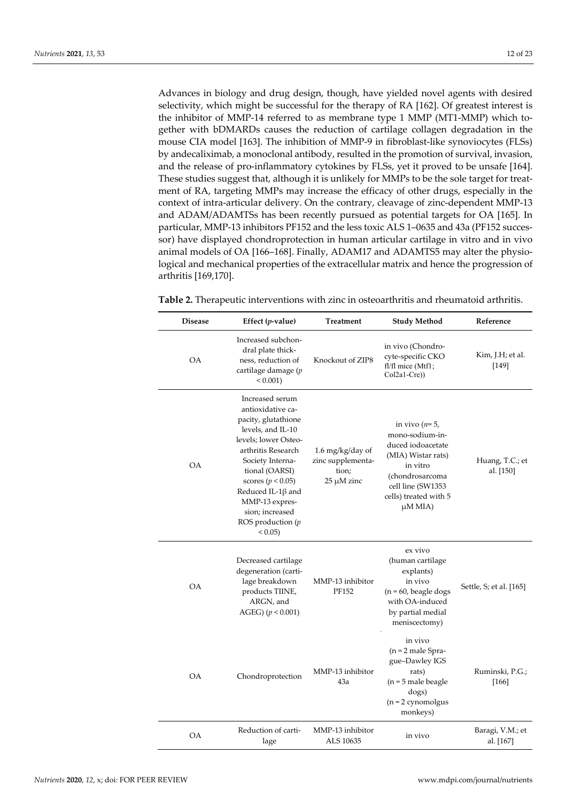Advances in biology and drug design, though, have yielded novel agents with desired selectivity, which might be successful for the therapy of RA [162]. Of greatest interest is the inhibitor of MMP-14 referred to as membrane type 1 MMP (MT1-MMP) which together with bDMARDs causes the reduction of cartilage collagen degradation in the mouse CIA model [163]. The inhibition of MMP-9 in fibroblast-like synoviocytes (FLSs) by andecaliximab, a monoclonal antibody, resulted in the promotion of survival, invasion, and the release of pro-inflammatory cytokines by FLSs, yet it proved to be unsafe [164]. These studies suggest that, although it is unlikely for MMPs to be the sole target for treatment of RA, targeting MMPs may increase the efficacy of other drugs, especially in the context of intra-articular delivery. On the contrary, cleavage of zinc-dependent MMP-13 and ADAM/ADAMTSs has been recently pursued as potential targets for OA [165]. In particular, MMP-13 inhibitors PF152 and the less toxic ALS 1–0635 and 43a (PF152 successor) have displayed chondroprotection in human articular cartilage in vitro and in vivo animal models of OA [166–168]. Finally, ADAM17 and ADAMTS5 may alter the physiological and mechanical properties of the extracellular matrix and hence the progression of arthritis [169,170].

| <b>Disease</b> | Effect $(p$ -value)                                                                                                                                                                                                                                                                            | Treatment                                                         | <b>Study Method</b>                                                                                                                                                     | Reference                     |
|----------------|------------------------------------------------------------------------------------------------------------------------------------------------------------------------------------------------------------------------------------------------------------------------------------------------|-------------------------------------------------------------------|-------------------------------------------------------------------------------------------------------------------------------------------------------------------------|-------------------------------|
| OA             | Increased subchon-<br>dral plate thick-<br>ness, reduction of<br>cartilage damage (p<br>$< 0.001$ )                                                                                                                                                                                            | Knockout of ZIP8                                                  | in vivo (Chondro-<br>cyte-specific CKO<br>fl/fl mice (Mtf1;<br>$Col2a1-Cre)$                                                                                            | Kim, J.H; et al.<br>[149]     |
| <b>OA</b>      | Increased serum<br>antioxidative ca-<br>pacity, glutathione<br>levels, and IL-10<br>levels; lower Osteo-<br>arthritis Research<br>Society Interna-<br>tional (OARSI)<br>scores ( $p < 0.05$ )<br>Reduced IL-1 $\beta$ and<br>MMP-13 expres-<br>sion; increased<br>ROS production $(p)$<br>0.05 | 1.6 mg/kg/day of<br>zinc supplementa-<br>tion;<br>$25 \mu M$ zinc | in vivo $(n=5)$ ,<br>mono-sodium-in-<br>duced iodoacetate<br>(MIA) Wistar rats)<br>in vitro<br>(chondrosarcoma<br>cell line (SW1353<br>cells) treated with 5<br>μM MIA) | Huang, T.C.; et<br>al. [150]  |
| <b>OA</b>      | Decreased cartilage<br>degeneration (carti-<br>lage breakdown<br>products TIINE,<br>ARGN, and<br>AGEG) $(p < 0.001)$                                                                                                                                                                           | MMP-13 inhibitor<br>PF152                                         | ex vivo<br>(human cartilage<br>explants)<br>in vivo<br>$(n = 60,$ beagle dogs<br>with OA-induced<br>by partial medial<br>meniscectomy)                                  | Settle, S; et al. [165]       |
| <b>OA</b>      | Chondroprotection                                                                                                                                                                                                                                                                              | MMP-13 inhibitor<br>43a                                           | in vivo<br>$(n = 2$ male Spra-<br>gue-Dawley IGS<br>rats)<br>$(n = 5$ male beagle<br>dogs)<br>$(n = 2$ cynomolgus<br>monkeys)                                           | Ruminski, P.G.;<br>[166]      |
| <b>OA</b>      | Reduction of carti-<br>lage                                                                                                                                                                                                                                                                    | MMP-13 inhibitor<br>ALS 10635                                     | in vivo                                                                                                                                                                 | Baragi, V.M.; et<br>al. [167] |

**Table 2.** Therapeutic interventions with zinc in osteoarthritis and rheumatoid arthritis.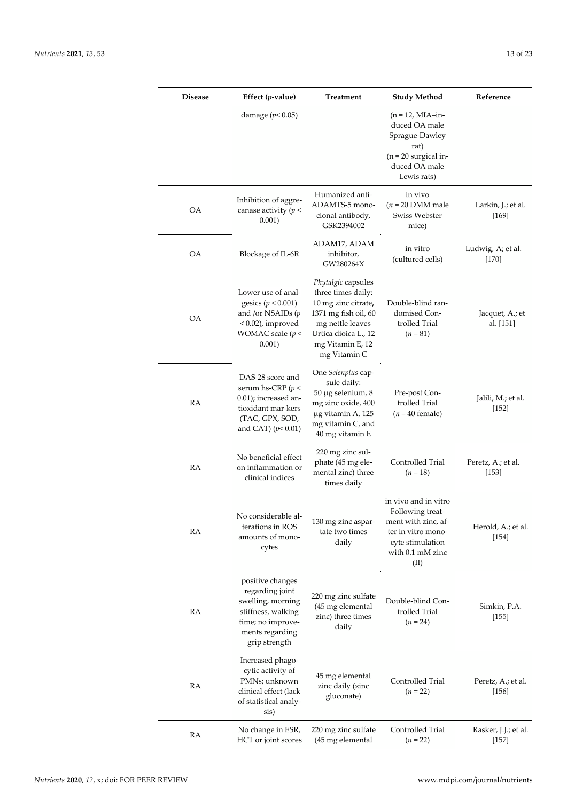| <b>Disease</b> | Effect $(p$ -value)                                                                                                                     | <b>Treatment</b>                                                                                                                                                        | <b>Study Method</b>                                                                                                                   | Reference                       |
|----------------|-----------------------------------------------------------------------------------------------------------------------------------------|-------------------------------------------------------------------------------------------------------------------------------------------------------------------------|---------------------------------------------------------------------------------------------------------------------------------------|---------------------------------|
|                | damage ( $p$ < 0.05)                                                                                                                    |                                                                                                                                                                         | $(n = 12, MIA-in-$<br>duced OA male<br>Sprague-Dawley<br>rat)<br>$(n = 20$ surgical in-<br>duced OA male<br>Lewis rats)               |                                 |
| OΑ             | Inhibition of aggre-<br>canase activity ( $p <$<br>0.001)                                                                               | Humanized anti-<br>ADAMTS-5 mono-<br>clonal antibody,<br>GSK2394002                                                                                                     | in vivo<br>$(n = 20$ DMM male<br>Swiss Webster<br>mice)                                                                               | Larkin, J.; et al.<br>[169]     |
| OA             | Blockage of IL-6R                                                                                                                       | ADAM17, ADAM<br>inhibitor,<br>GW280264X                                                                                                                                 | in vitro<br>(cultured cells)                                                                                                          | Ludwig, A; et al.<br>$[170]$    |
| <b>OA</b>      | Lower use of anal-<br>gesics ( $p < 0.001$ )<br>and /or NSAIDs $(p$<br>$< 0.02$ ), improved<br>WOMAC scale $(p <$<br>0.001)             | Phytalgic capsules<br>three times daily:<br>10 mg zinc citrate,<br>1371 mg fish oil, 60<br>mg nettle leaves<br>Urtica dioica L., 12<br>mg Vitamin E, 12<br>mg Vitamin C | Double-blind ran-<br>domised Con-<br>trolled Trial<br>$(n = 81)$                                                                      | Jacquet, A.; et<br>al. [151]    |
| RA             | DAS-28 score and<br>serum hs-CRP ( $p$ <<br>0.01); increased an-<br>tioxidant mar-kers<br>(TAC, GPX, SOD,<br>and CAT) $(p< 0.01)$       | One Selenplus cap-<br>sule daily:<br>50 µg selenium, 8<br>mg zinc oxide, 400<br>µg vitamin A, 125<br>mg vitamin C, and<br>40 mg vitamin E                               | Pre-post Con-<br>trolled Trial<br>$(n = 40$ female)                                                                                   | Jalili, M.; et al.<br>$[152]$   |
| RA             | No beneficial effect<br>on inflammation or<br>clinical indices                                                                          | 220 mg zinc sul-<br>phate (45 mg ele-<br>mental zinc) three<br>times daily                                                                                              | Controlled Trial<br>$(n=18)$                                                                                                          | Peretz, A.; et al.<br>[153]     |
| RA             | No considerable al-<br>terations in ROS<br>amounts of mono-<br>cytes                                                                    | 130 mg zinc aspar-<br>tate two times<br>daily                                                                                                                           | in vivo and in vitro<br>Following treat-<br>ment with zinc, af-<br>ter in vitro mono-<br>cyte stimulation<br>with 0.1 mM zinc<br>(II) | Herold, A.; et al.<br>[154]     |
| RA             | positive changes<br>regarding joint<br>swelling, morning<br>stiffness, walking<br>time; no improve-<br>ments regarding<br>grip strength | 220 mg zinc sulfate<br>(45 mg elemental<br>zinc) three times<br>daily                                                                                                   | Double-blind Con-<br>trolled Trial<br>$(n = 24)$                                                                                      | Simkin, P.A.<br>[155]           |
| RA             | Increased phago-<br>cytic activity of<br>PMNs; unknown<br>clinical effect (lack<br>of statistical analy-<br>sis)                        | 45 mg elemental<br>zinc daily (zinc<br>gluconate)                                                                                                                       | Controlled Trial<br>$(n = 22)$                                                                                                        | Peretz, A.; et al.<br>$[156]$   |
| RA             | No change in ESR,<br>HCT or joint scores                                                                                                | 220 mg zinc sulfate<br>(45 mg elemental                                                                                                                                 | Controlled Trial<br>$(n = 22)$                                                                                                        | Rasker, J.J.; et al.<br>$[157]$ |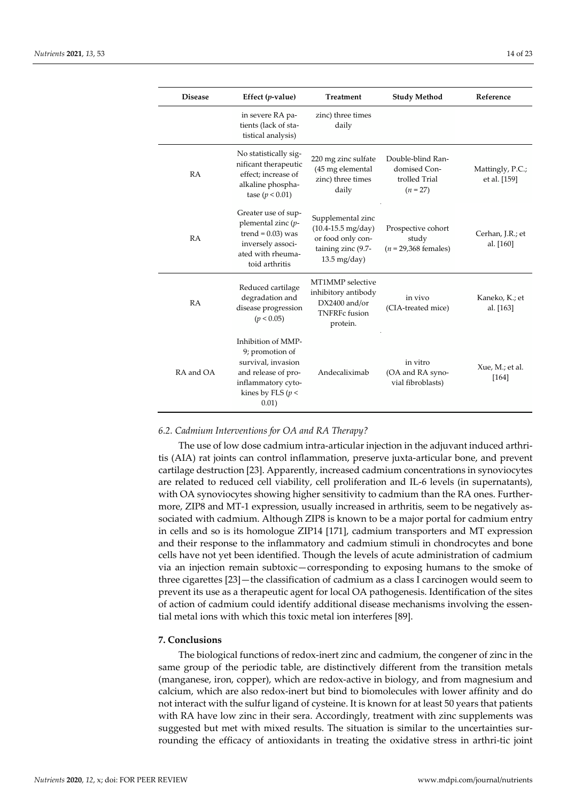| <b>Disease</b> | Effect $(p$ -value)                                                                                                                       | <b>Treatment</b>                                                                                                        | <b>Study Method</b>                                              | Reference                        |
|----------------|-------------------------------------------------------------------------------------------------------------------------------------------|-------------------------------------------------------------------------------------------------------------------------|------------------------------------------------------------------|----------------------------------|
|                | in severe RA pa-<br>tients (lack of sta-<br>tistical analysis)                                                                            | zinc) three times<br>daily                                                                                              |                                                                  |                                  |
| <b>RA</b>      | No statistically sig-<br>nificant therapeutic<br>effect: increase of<br>alkaline phospha-<br>tase ( $p < 0.01$ )                          | 220 mg zinc sulfate<br>(45 mg elemental<br>zinc) three times<br>daily                                                   | Double-blind Ran-<br>domised Con-<br>trolled Trial<br>$(n = 27)$ | Mattingly, P.C.;<br>et al. [159] |
| RA             | Greater use of sup-<br>plemental zinc (p-<br>trend = $0.03$ ) was<br>inversely associ-<br>ated with rheuma-<br>toid arthritis             | Supplemental zinc<br>$(10.4 - 15.5 \text{ mg/day})$<br>or food only con-<br>taining zinc (9.7-<br>$13.5 \text{ mg/day}$ | Prospective cohort<br>study<br>$(n = 29,368$ females)            | Cerhan, J.R.; et<br>al. [160]    |
| <b>RA</b>      | Reduced cartilage<br>degradation and<br>disease progression<br>(p < 0.05)                                                                 | MT1MMP selective<br>inhibitory antibody<br>$DX2400$ and/or<br><b>TNFRFc</b> fusion<br>protein.                          | in vivo<br>(CIA-treated mice)                                    | Kaneko, K.; et<br>al. [163]      |
| RA and OA      | Inhibition of MMP-<br>9; promotion of<br>survival, invasion<br>and release of pro-<br>inflammatory cyto-<br>kines by FLS ( $p$ <<br>0.01) | Andecaliximab                                                                                                           | in vitro<br>(OA and RA syno-<br>vial fibroblasts)                | Xue, M.; et al.<br>[164]         |

#### *6.2. Cadmium Interventions for OA and RA Therapy?*

The use of low dose cadmium intra-articular injection in the adjuvant induced arthritis (AIA) rat joints can control inflammation, preserve juxta-articular bone, and prevent cartilage destruction [23]. Apparently, increased cadmium concentrations in synoviocytes are related to reduced cell viability, cell proliferation and IL-6 levels (in supernatants), with OA synoviocytes showing higher sensitivity to cadmium than the RA ones. Furthermore, ZIP8 and MT-1 expression, usually increased in arthritis, seem to be negatively associated with cadmium. Although ZIP8 is known to be a major portal for cadmium entry in cells and so is its homologue ZIP14 [171], cadmium transporters and MT expression and their response to the inflammatory and cadmium stimuli in chondrocytes and bone cells have not yet been identified. Though the levels of acute administration of cadmium via an injection remain subtoxic—corresponding to exposing humans to the smoke of three cigarettes [23]—the classification of cadmium as a class I carcinogen would seem to prevent its use as a therapeutic agent for local OA pathogenesis. Identification of the sites of action of cadmium could identify additional disease mechanisms involving the essential metal ions with which this toxic metal ion interferes [89].

## **7. Conclusions**

The biological functions of redox-inert zinc and cadmium, the congener of zinc in the same group of the periodic table, are distinctively different from the transition metals (manganese, iron, copper), which are redox-active in biology, and from magnesium and calcium, which are also redox-inert but bind to biomolecules with lower affinity and do not interact with the sulfur ligand of cysteine. It is known for at least 50 years that patients with RA have low zinc in their sera. Accordingly, treatment with zinc supplements was suggested but met with mixed results. The situation is similar to the uncertainties surrounding the efficacy of antioxidants in treating the oxidative stress in arthri-tic joint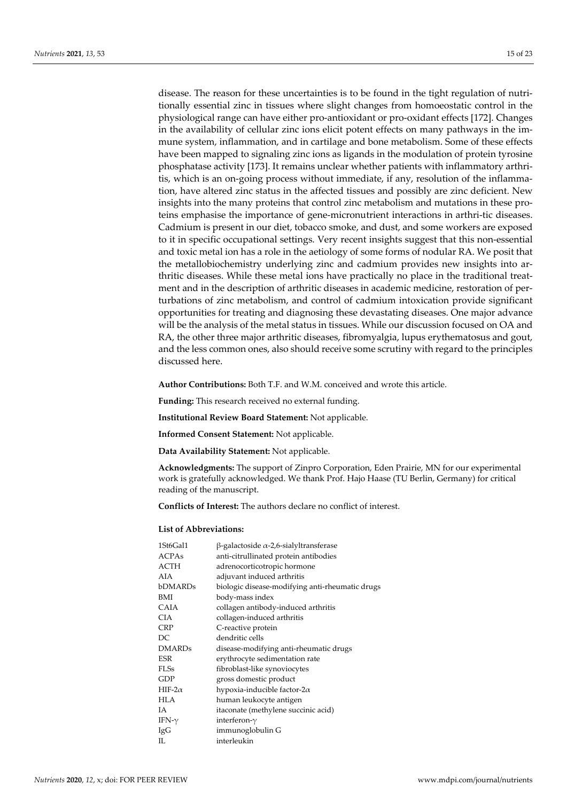disease. The reason for these uncertainties is to be found in the tight regulation of nutritionally essential zinc in tissues where slight changes from homoeostatic control in the physiological range can have either pro-antioxidant or pro-oxidant effects [172]. Changes in the availability of cellular zinc ions elicit potent effects on many pathways in the immune system, inflammation, and in cartilage and bone metabolism. Some of these effects have been mapped to signaling zinc ions as ligands in the modulation of protein tyrosine phosphatase activity [173]. It remains unclear whether patients with inflammatory arthritis, which is an on-going process without immediate, if any, resolution of the inflammation, have altered zinc status in the affected tissues and possibly are zinc deficient. New insights into the many proteins that control zinc metabolism and mutations in these proteins emphasise the importance of gene-micronutrient interactions in arthri-tic diseases. Cadmium is present in our diet, tobacco smoke, and dust, and some workers are exposed to it in specific occupational settings. Very recent insights suggest that this non-essential and toxic metal ion has a role in the aetiology of some forms of nodular RA. We posit that the metallobiochemistry underlying zinc and cadmium provides new insights into arthritic diseases. While these metal ions have practically no place in the traditional treatment and in the description of arthritic diseases in academic medicine, restoration of perturbations of zinc metabolism, and control of cadmium intoxication provide significant opportunities for treating and diagnosing these devastating diseases. One major advance will be the analysis of the metal status in tissues. While our discussion focused on OA and RA, the other three major arthritic diseases, fibromyalgia, lupus erythematosus and gout, and the less common ones, also should receive some scrutiny with regard to the principles discussed here.

**Author Contributions:** Both T.F. and W.M. conceived and wrote this article.

**Funding:** This research received no external funding.

**Institutional Review Board Statement:** Not applicable.

**Informed Consent Statement:** Not applicable.

**Data Availability Statement:** Not applicable.

**Acknowledgments:** The support of Zinpro Corporation, Eden Prairie, MN for our experimental work is gratefully acknowledged. We thank Prof. Hajo Haase (TU Berlin, Germany) for critical reading of the manuscript.

**Conflicts of Interest:** The authors declare no conflict of interest.

#### **List of Abbreviations:**

| 1St6Gal1       | $\beta$ -galactoside $\alpha$ -2,6-sialyltransferase |
|----------------|------------------------------------------------------|
| <b>ACPAs</b>   | anti-citrullinated protein antibodies                |
| ACTH           | adrenocorticotropic hormone                          |
| AIA            | adjuvant induced arthritis                           |
| bDMARDs        | biologic disease-modifying anti-rheumatic drugs      |
| BMI            | body-mass index                                      |
| CAIA           | collagen antibody-induced arthritis                  |
| CIA            | collagen-induced arthritis                           |
| <b>CRP</b>     | C-reactive protein                                   |
| DC             | dendritic cells                                      |
| <b>DMARDs</b>  | disease-modifying anti-rheumatic drugs               |
| ESR            | erythrocyte sedimentation rate                       |
| FLSs           | fibroblast-like synoviocytes                         |
| GDP            | gross domestic product                               |
| HIF-2 $\alpha$ | hypoxia-inducible factor- $2\alpha$                  |
| HLA            | human leukocyte antigen                              |
| IΑ             | itaconate (methylene succinic acid)                  |
| IFN- $\gamma$  | interferon- $\gamma$                                 |
| IgG            | immunoglobulin G                                     |
| H.             | interleukin                                          |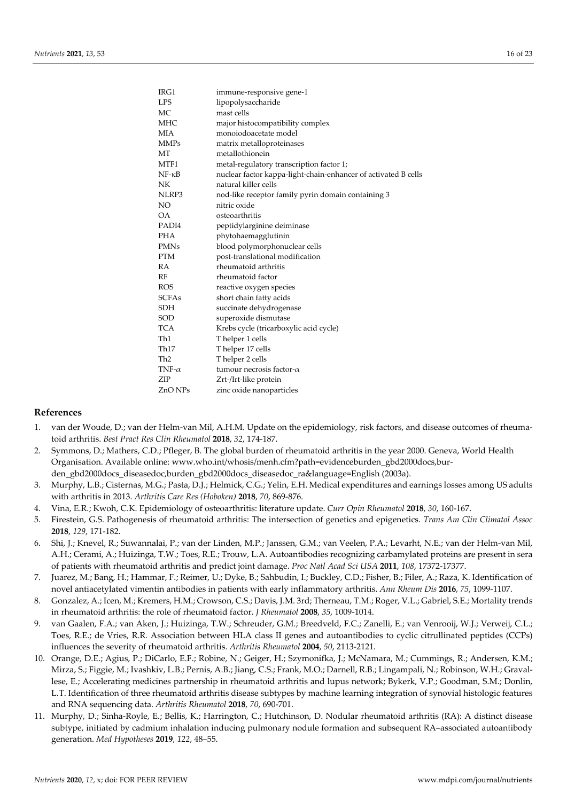| IRG1            | immune-responsive gene-1                                       |
|-----------------|----------------------------------------------------------------|
| <b>LPS</b>      | lipopolysaccharide                                             |
| МC              | mast cells                                                     |
| <b>MHC</b>      | major histocompatibility complex                               |
| MIA             | monoiodoacetate model                                          |
| <b>MMPs</b>     | matrix metalloproteinases                                      |
| MT              | metallothionein                                                |
| MTF1            | metal-regulatory transcription factor 1;                       |
| $NF - \kappa B$ | nuclear factor kappa-light-chain-enhancer of activated B cells |
| NK              | natural killer cells                                           |
| NLRP3           | nod-like receptor family pyrin domain containing 3             |
| NO.             | nitric oxide                                                   |
| OA.             | osteoarthritis                                                 |
| PADI4           | peptidylarginine deiminase                                     |
| <b>PHA</b>      | phytohaemagglutinin                                            |
| <b>PMNs</b>     | blood polymorphonuclear cells                                  |
| <b>PTM</b>      | post-translational modification                                |
| RA              | rheumatoid arthritis                                           |
| RF              | rheumatoid factor                                              |
| <b>ROS</b>      | reactive oxygen species                                        |
| <b>SCFAs</b>    | short chain fatty acids                                        |
| <b>SDH</b>      | succinate dehydrogenase                                        |
| SOD             | superoxide dismutase                                           |
| TCA             | Krebs cycle (tricarboxylic acid cycle)                         |
| Th1             | Thelper 1 cells                                                |
| Th17            | Thelper 17 cells                                               |
| Th <sub>2</sub> | T helper 2 cells                                               |
| TNF- $\alpha$   | tumour necrosis factor- $\alpha$                               |
| ZIP             | Zrt-/Irt-like protein                                          |
| ZnO NPs         | zinc oxide nanoparticles                                       |

## **References**

- 1. van der Woude, D.; van der Helm-van Mil, A.H.M. Update on the epidemiology, risk factors, and disease outcomes of rheumatoid arthritis. *Best Pract Res Clin Rheumatol* **2018**, *32*, 174-187.
- 2. Symmons, D.; Mathers, C.D.; Pfleger, B. The global burden of rheumatoid arthritis in the year 2000. Geneva, World Health Organisation. Available online: www.who.int/whosis/menh.cfm?path=evidenceburden\_gbd2000docs,burden\_gbd2000docs\_diseasedoc,burden\_gbd2000docs\_diseasedoc\_ra&language=English (2003a).
- 3. Murphy, L.B.; Cisternas, M.G.; Pasta, D.J.; Helmick, C.G.; Yelin, E.H. Medical expenditures and earnings losses among US adults with arthritis in 2013. *Arthritis Care Res (Hoboken)* **2018**, *70*, 869-876.
- 4. Vina, E.R.; Kwoh, C.K. Epidemiology of osteoarthritis: literature update. *Curr Opin Rheumatol* **2018**, *30*, 160-167.
- 5. Firestein, G.S. Pathogenesis of rheumatoid arthritis: The intersection of genetics and epigenetics. *Trans Am Clin Climatol Assoc* **2018**, *129*, 171-182.
- 6. Shi, J.; Knevel, R.; Suwannalai, P.; van der Linden, M.P.; Janssen, G.M.; van Veelen, P.A.; Levarht, N.E.; van der Helm-van Mil, A.H.; Cerami, A.; Huizinga, T.W.; Toes, R.E.; Trouw, L.A. Autoantibodies recognizing carbamylated proteins are present in sera of patients with rheumatoid arthritis and predict joint damage. *Proc Natl Acad Sci USA* **2011**, *108*, 17372-17377.
- 7. Juarez, M.; Bang, H.; Hammar, F.; Reimer, U.; Dyke, B.; Sahbudin, I.; Buckley, C.D.; Fisher, B.; Filer, A.; Raza, K. Identification of novel antiacetylated vimentin antibodies in patients with early inflammatory arthritis. *Ann Rheum Dis* **2016**, *75*, 1099-1107.
- 8. Gonzalez, A.; Icen, M.; Kremers, H.M.; Crowson, C.S.; Davis, J.M. 3rd; Therneau, T.M.; Roger, V.L.; Gabriel, S.E.; Mortality trends in rheumatoid arthritis: the role of rheumatoid factor. *J Rheumatol* **2008**, *35*, 1009-1014.
- 9. van Gaalen, F.A.; van Aken, J.; Huizinga, T.W.; Schreuder, G.M.; Breedveld, F.C.; Zanelli, E.; van Venrooij, W.J.; Verweij, C.L.; Toes, R.E.; de Vries, R.R. Association between HLA class II genes and autoantibodies to cyclic citrullinated peptides (CCPs) influences the severity of rheumatoid arthritis. *Arthritis Rheumatol* **2004**, *50*, 2113-2121.
- 10. Orange, D.E.; Agius, P.; DiCarlo, E.F.; Robine, N.; Geiger, H.; Szymonifka, J.; McNamara, M.; Cummings, R.; Andersen, K.M.; Mirza, S.; Figgie, M.; Ivashkiv, L.B.; Pernis, A.B.; Jiang, C.S.; Frank, M.O.; Darnell, R.B.; Lingampali, N.; Robinson, W.H.; Gravallese, E.; Accelerating medicines partnership in rheumatoid arthritis and lupus network; Bykerk, V.P.; Goodman, S.M.; Donlin, L.T. Identification of three rheumatoid arthritis disease subtypes by machine learning integration of synovial histologic features and RNA sequencing data. *Arthritis Rheumatol* **2018**, *70*, 690-701.
- 11. Murphy, D.; Sinha-Royle, E.; Bellis, K.; Harrington, C.; Hutchinson, D. Nodular rheumatoid arthritis (RA): A distinct disease subtype, initiated by cadmium inhalation inducing pulmonary nodule formation and subsequent RA–associated autoantibody generation. *Med Hypotheses* **2019**, *122*, 48–55.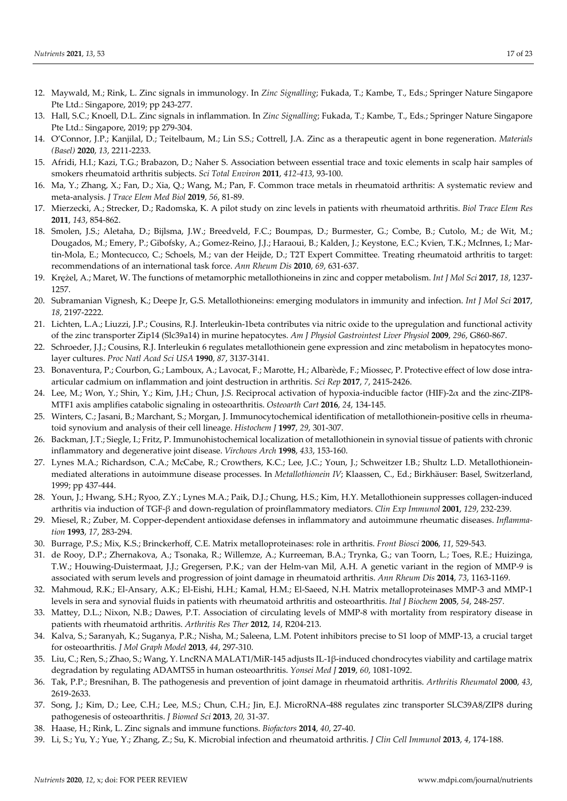- 12. Maywald, M.; Rink, L. Zinc signals in immunology. In *Zinc Signalling*; Fukada, T.; Kambe, T., Eds.; Springer Nature Singapore Pte Ltd.: Singapore, 2019; pp 243-277.
- 13. Hall, S.C.; Knoell, D.L. Zinc signals in inflammation. In *Zinc Signalling*; Fukada, T.; Kambe, T., Eds.; Springer Nature Singapore Pte Ltd.: Singapore, 2019; pp 279-304.
- 14. O'Connor, J.P.; Kanjilal, D.; Teitelbaum, M.; Lin S.S.; Cottrell, J.A. Zinc as a therapeutic agent in bone regeneration. *Materials (Basel)* **2020**, *13*, 2211-2233.
- 15. Afridi, H.I.; Kazi, T.G.; Brabazon, D.; Naher S. Association between essential trace and toxic elements in scalp hair samples of smokers rheumatoid arthritis subjects. *Sci Total Environ* **2011**, *412-413*, 93-100.
- 16. Ma, Y.; Zhang, X.; Fan, D.; Xia, Q.; Wang, M.; Pan, F. Common trace metals in rheumatoid arthritis: A systematic review and meta-analysis. *J Trace Elem Med Biol* **2019**, *56*, 81-89.
- 17. Mierzecki, A.; Strecker, D.; Radomska, K. A pilot study on zinc levels in patients with rheumatoid arthritis. *Biol Trace Elem Res* **2011**, *143*, 854-862.
- 18. Smolen, J.S.; Aletaha, D.; Bijlsma, J.W.; Breedveld, F.C.; Boumpas, D.; Burmester, G.; Combe, B.; Cutolo, M.; de Wit, M.; Dougados, M.; Emery, P.; Gibofsky, A.; Gomez-Reino, J.J.; Haraoui, B.; Kalden, J.; Keystone, E.C.; Kvien, T.K.; McInnes, I.; Martin-Mola, E.; Montecucco, C.; Schoels, M.; van der Heijde, D.; T2T Expert Committee. Treating rheumatoid arthritis to target: recommendations of an international task force. *Ann Rheum Dis* **2010**, *69*, 631-637.
- 19. Krężel, A.; Maret, W. The functions of metamorphic metallothioneins in zinc and copper metabolism. *Int J Mol Sci* **2017**, *18*, 1237- 1257.
- 20. Subramanian Vignesh, K.; Deepe Jr, G.S. Metallothioneins: emerging modulators in immunity and infection. *Int J Mol Sci* **2017**, *18*, 2197-2222.
- 21. Lichten, L.A.; Liuzzi, J.P.; Cousins, R.J. Interleukin-1beta contributes via nitric oxide to the upregulation and functional activity of the zinc transporter Zip14 (Slc39a14) in murine hepatocytes. *Am J Physiol Gastrointest Liver Physiol* **2009**, *296*, G860-867.
- 22. Schroeder, J.J.; Cousins, R.J. Interleukin 6 regulates metallothionein gene expression and zinc metabolism in hepatocytes monolayer cultures. *Proc Natl Acad Sci USA* **1990**, *87*, 3137-3141.
- 23. Bonaventura, P.; Courbon, G.; Lamboux, A.; Lavocat, F.; Marotte, H.; Albarède, F.; Miossec, P. Protective effect of low dose intraarticular cadmium on inflammation and joint destruction in arthritis. *Sci Rep* **2017**, *7*, 2415-2426.
- 24. Lee, M.; Won, Y.; Shin, Y.; Kim, J.H.; Chun, J.S. Reciprocal activation of hypoxia-inducible factor (HIF)-2α and the zinc-ZIP8- MTF1 axis amplifies catabolic signaling in osteoarthritis. *Osteoarth Cart* **2016**, *24*, 134-145.
- 25. Winters, C.; Jasani, B.; Marchant, S.; Morgan, J. Immunocytochemical identification of metallothionein-positive cells in rheumatoid synovium and analysis of their cell lineage. *Histochem J* **1997**, *29*, 301-307.
- 26. Backman, J.T.; Siegle, I.; Fritz, P. Immunohistochemical localization of metallothionein in synovial tissue of patients with chronic inflammatory and degenerative joint disease. *Virchows Arch* **1998**, *433*, 153-160.
- 27. Lynes M.A.; Richardson, C.A.; McCabe, R.; Crowthers, K.C.; Lee, J.C.; Youn, J.; Schweitzer I.B.; Shultz L.D. Metallothioneinmediated alterations in autoimmune disease processes. In *Metallothionein IV*; Klaassen, C., Ed.; Birkhäuser: Basel, Switzerland, 1999; pp 437-444.
- 28. Youn, J.; Hwang, S.H.; Ryoo, Z.Y.; Lynes M.A.; Paik, D.J.; Chung, H.S.; Kim, H.Y. Metallothionein suppresses collagen-induced arthritis via induction of TGF-β and down-regulation of proinflammatory mediators. *Clin Exp Immunol* **2001**, *129*, 232-239.
- 29. Miesel, R.; Zuber, M. Copper-dependent antioxidase defenses in inflammatory and autoimmune rheumatic diseases. *Inflammation* **1993**, *17*, 283-294.
- 30. Burrage, P.S.; Mix, K.S.; Brinckerhoff, C.E. Matrix metalloproteinases: role in arthritis. *Front Biosci* **2006**, *11*, 529-543.
- 31. de Rooy, D.P.; Zhernakova, A.; Tsonaka, R.; Willemze, A.; Kurreeman, B.A.; Trynka, G.; van Toorn, L.; Toes, R.E.; Huizinga, T.W.; Houwing-Duistermaat, J.J.; Gregersen, P.K.; van der Helm-van Mil, A.H. A genetic variant in the region of MMP-9 is associated with serum levels and progression of joint damage in rheumatoid arthritis. *Ann Rheum Dis* **2014**, *73*, 1163-1169.
- 32. Mahmoud, R.K.; El-Ansary, A.K.; El-Eishi, H.H.; Kamal, H.M.; El-Saeed, N.H. Matrix metalloproteinases MMP-3 and MMP-1 levels in sera and synovial fluids in patients with rheumatoid arthritis and osteoarthritis. *Ital J Biochem* **2005**, *54*, 248-257.
- 33. Mattey, D.L.; Nixon, N.B.; Dawes, P.T. Association of circulating levels of MMP-8 with mortality from respiratory disease in patients with rheumatoid arthritis. *Arthritis Res Ther* **2012**, *14*, R204-213.
- 34. Kalva, S.; Saranyah, K.; Suganya, P.R.; Nisha, M.; Saleena, L.M. Potent inhibitors precise to S1 loop of MMP-13, a crucial target for osteoarthritis. *J Mol Graph Model* **2013**, *44*, 297-310.
- 35. Liu, C.; Ren, S.; Zhao, S.; Wang, Y. LncRNA MALAT1/MiR-145 adjusts IL-1β-induced chondrocytes viability and cartilage matrix degradation by regulating ADAMTS5 in human osteoarthritis. *Yonsei Med J* **2019**, *60*, 1081-1092.
- 36. Tak, P.P.; Bresnihan, B. The pathogenesis and prevention of joint damage in rheumatoid arthritis. *Arthritis Rheumatol* **2000**, *43*, 2619-2633.
- 37. Song, J.; Kim, D.; Lee, C.H.; Lee, M.S.; Chun, C.H.; Jin, E.J. MicroRNA-488 regulates zinc transporter SLC39A8/ZIP8 during pathogenesis of osteoarthritis. *J Biomed Sci* **2013**, *20,* 31-37.
- 38. Haase, H.; Rink, L. Zinc signals and immune functions. *Biofactors* **2014**, *40*, 27-40.
- 39. Li, S.; Yu, Y.; Yue, Y.; Zhang, Z.; Su, K. Microbial infection and rheumatoid arthritis. *J Clin Cell Immunol* **2013**, *4*, 174-188.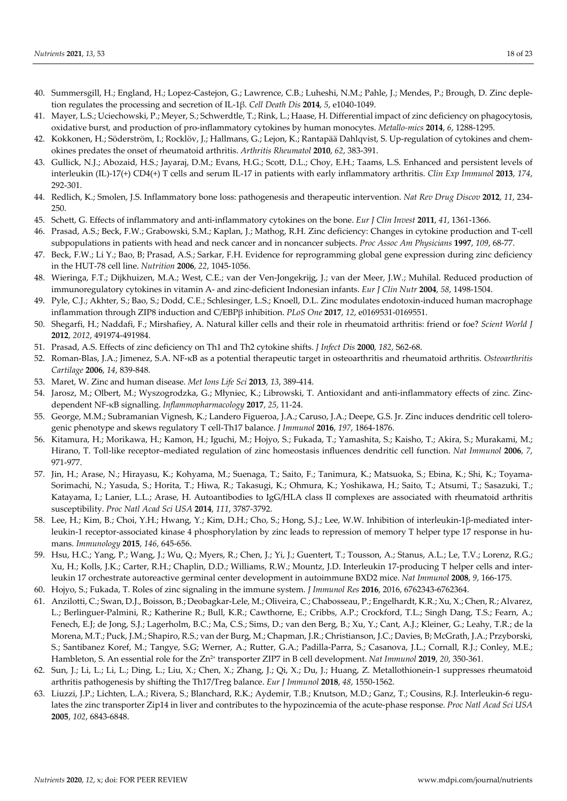- 40. Summersgill, H.; England, H.; Lopez-Castejon, G.; Lawrence, C.B.; Luheshi, N.M.; Pahle, J.; Mendes, P.; Brough, D. Zinc depletion regulates the processing and secretion of IL-1β. *Cell Death Dis* **2014**, *5*, e1040-1049.
- 41. Mayer, L.S.; Uciechowski, P.; Meyer, S.; Schwerdtle, T.; Rink, L.; Haase, H. Differential impact of zinc deficiency on phagocytosis, oxidative burst, and production of pro-inflammatory cytokines by human monocytes. *Metallo-mics* **2014**, *6*, 1288-1295.
- 42. Kokkonen, H.; Söderström, I.; Rocklöv, J.; Hallmans, G.; Lejon, K.; Rantapää Dahlqvist, S. Up-regulation of cytokines and chemokines predates the onset of rheumatoid arthritis. *Arthritis Rheumatol* **2010**, *62*, 383-391.
- 43. Gullick, N.J.; Abozaid, H.S.; Jayaraj, D.M.; Evans, H.G.; Scott, D.L.; Choy, E.H.; Taams, L.S. Enhanced and persistent levels of interleukin (IL)-17(+) CD4(+) T cells and serum IL-17 in patients with early inflammatory arthritis. *Clin Exp Immunol* **2013**, *174*, 292-301.
- 44. Redlich, K.; Smolen, J.S. Inflammatory bone loss: pathogenesis and therapeutic intervention. *Nat Rev Drug Discov* **2012**, *11*, 234- 250.
- 45. Schett, G. Effects of inflammatory and anti-inflammatory cytokines on the bone. *Eur J Clin Invest* **2011**, *41*, 1361-1366.
- 46. Prasad, A.S.; Beck, F.W.; Grabowski, S.M.; Kaplan, J.; Mathog, R.H. Zinc deficiency: Changes in cytokine production and T-cell subpopulations in patients with head and neck cancer and in noncancer subjects. *Proc Assoc Am Physicians* **1997**, *109*, 68-77.
- 47. Beck, F.W.; Li Y.; Bao, B; Prasad, A.S.; Sarkar, F.H. Evidence for reprogramming global gene expression during zinc deficiency in the HUT-78 cell line. *Nutrition* **2006**, *22*, 1045-1056.
- 48. Wieringa, F.T.; Dijkhuizen, M.A.; West, C.E.; van der Ven-Jongekrijg, J.; van der Meer, J.W.; Muhilal. Reduced production of immunoregulatory cytokines in vitamin A- and zinc-deficient Indonesian infants. *Eur J Clin Nutr* **2004**, *58*, 1498-1504.
- 49. Pyle, C.J.; Akhter, S.; Bao, S.; Dodd, C.E.; Schlesinger, L.S.; Knoell, D.L. Zinc modulates endotoxin-induced human macrophage inflammation through ZIP8 induction and C/EBPβ inhibition. *PLoS One* **2017**, *12*, e0169531-0169551.
- 50. Shegarfi, H.; Naddafi, F.; Mirshafiey, A. Natural killer cells and their role in rheumatoid arthritis: friend or foe? *Scient World J* **2012**, *2012*, 491974-491984.
- 51. Prasad, A.S. Effects of zinc deficiency on Th1 and Th2 cytokine shifts. *J Infect Dis* **2000**, *182*, S62-68.
- 52. Roman-Blas, J.A.; Jimenez, S.A. NF-κB as a potential therapeutic target in osteoarthritis and rheumatoid arthritis. *Osteoarthritis Cartilage* **2006**, *14*, 839-848.
- 53. Maret, W. Zinc and human disease. *Met Ions Life Sci* **2013**, *13*, 389-414.
- 54. Jarosz, M.; Olbert, M.; Wyszogrodzka, G.; Młyniec, K.; Librowski, T. Antioxidant and anti-inflammatory effects of zinc. Zincdependent NF-κB signalling. *Inflammopharmacology* **2017**, *25*, 11-24.
- 55. George, M.M.; Subramanian Vignesh, K.; Landero Figueroa, J.A.; Caruso, J.A.; Deepe, G.S. Jr. Zinc induces dendritic cell tolerogenic phenotype and skews regulatory T cell-Th17 balance. *J Immunol* **2016**, *197*, 1864-1876.
- 56. Kitamura, H.; Morikawa, H.; Kamon, H.; Iguchi, M.; Hojyo, S.; Fukada, T.; Yamashita, S.; Kaisho, T.; Akira, S.; Murakami, M.; Hirano, T. Toll-like receptor–mediated regulation of zinc homeostasis influences dendritic cell function. *Nat Immunol* **2006**, *7*, 971-977.
- 57. Jin, H.; Arase, N.; Hirayasu, K.; Kohyama, M.; Suenaga, T.; Saito, F.; Tanimura, K.; Matsuoka, S.; Ebina, K.; Shi, K.; Toyama-Sorimachi, N.; Yasuda, S.; Horita, T.; Hiwa, R.; Takasugi, K.; Ohmura, K.; Yoshikawa, H.; Saito, T.; Atsumi, T.; Sasazuki, T.; Katayama, I.; Lanier, L.L.; Arase, H. Autoantibodies to IgG/HLA class II complexes are associated with rheumatoid arthritis susceptibility. *Proc Natl Acad Sci USA* **2014**, *111*, 3787-3792.
- 58. Lee, H.; Kim, B.; Choi, Y.H.; Hwang, Y.; Kim, D.H.; Cho, S.; Hong, S.J.; Lee, W.W. Inhibition of interleukin-1β-mediated interleukin-1 receptor-associated kinase 4 phosphorylation by zinc leads to repression of memory T helper type 17 response in humans. *Immunology* **2015**, *146*, 645-656.
- 59. Hsu, H.C.; Yang, P.; Wang, J.; Wu, Q.; Myers, R.; Chen, J.; Yi, J.; Guentert, T.; Tousson, A.; Stanus, A.L.; Le, T.V.; Lorenz, R.G.; Xu, H.; Kolls, J.K.; Carter, R.H.; Chaplin, D.D.; Williams, R.W.; Mountz, J.D. Interleukin 17-producing T helper cells and interleukin 17 orchestrate autoreactive germinal center development in autoimmune BXD2 mice. *Nat Immunol* **2008**, *9*, 166-175.
- 60. Hojyo, S.; Fukada, T. Roles of zinc signaling in the immune system. *J Immunol Res* **2016**, 2016, 6762343-6762364.
- 61. Anzilotti, C.; Swan, D.J., Boisson, B.; Deobagkar-Lele, M.; Oliveira, C.; Chabosseau, P.; Engelhardt, K.R.; Xu, X.; Chen, R.; Alvarez, L.; Berlinguer-Palmini, R.; Katherine R.; Bull, K.R.; Cawthorne, E.; Cribbs, A.P.; Crockford, T.L.; Singh Dang, T.S.; Fearn, A.; Fenech, E.J; de Jong, S.J.; Lagerholm, B.C.; Ma, C.S.; Sims, D.; van den Berg, B.; Xu, Y.; Cant, A.J.; Kleiner, G.; Leahy, T.R.; de la Morena, M.T.; Puck, J.M.; Shapiro, R.S.; van der Burg, M.; Chapman, J.R.; Christianson, J.C.; Davies, B; McGrath, J.A.; Przyborski, S.; Santibanez Koref, M.; Tangye, S.G; Werner, A.; Rutter, G.A.; Padilla-Parra, S.; Casanova, J.L.; Cornall, R.J.; Conley, M.E.; Hambleton, S. An essential role for the Zn2+ transporter ZIP7 in B cell development. *Nat Immunol* **2019**, *20*, 350-361.
- 62. Sun, J.; Li, L.; Li, L.; Ding, L.; Liu, X.; Chen, X.; Zhang, J.; Qi, X.; Du, J.; Huang, Z. Metallothionein-1 suppresses rheumatoid arthritis pathogenesis by shifting the Th17/Treg balance. *Eur J Immunol* **2018**, *48*, 1550-1562.
- 63. Liuzzi, J.P.; Lichten, L.A.; Rivera, S.; Blanchard, R.K.; Aydemir, T.B.; Knutson, M.D.; Ganz, T.; Cousins, R.J. Interleukin-6 regulates the zinc transporter Zip14 in liver and contributes to the hypozincemia of the acute-phase response. *Proc Natl Acad Sci USA* **2005**, *102*, 6843-6848.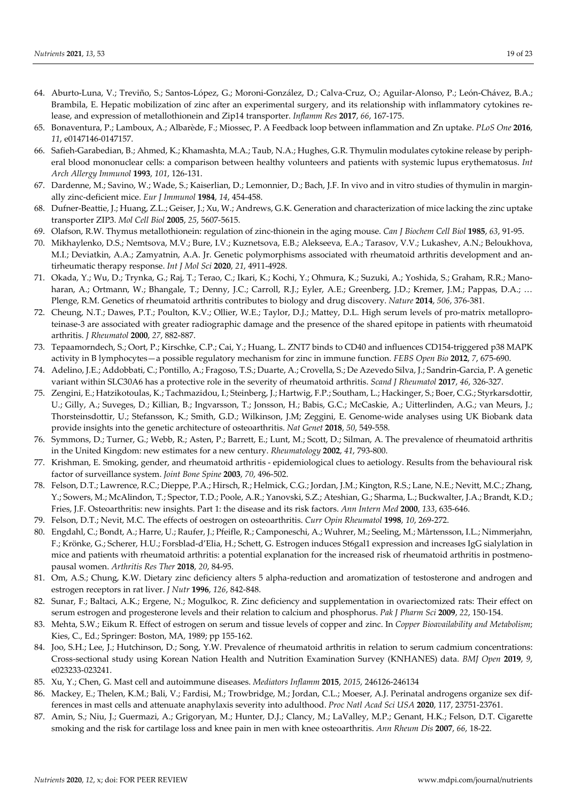- 64. Aburto-Luna, V.; Treviño, S.; Santos-López, G.; Moroni-González, D.; Calva-Cruz, O.; Aguilar-Alonso, P.; León-Chávez, B.A.; Brambila, E. Hepatic mobilization of zinc after an experimental surgery, and its relationship with inflammatory cytokines release, and expression of metallothionein and Zip14 transporter. *Inflamm Res* **2017**, *66*, 167-175.
- 65. Bonaventura, P.; Lamboux, A.; Albarède, F.; Miossec, P. A Feedback loop between inflammation and Zn uptake. *PLoS One* **2016**, *11*, e0147146-0147157.
- 66. Safieh-Garabedian, B.; Ahmed, K.; Khamashta, M.A.; Taub, N.A.; Hughes, G.R. Thymulin modulates cytokine release by peripheral blood mononuclear cells: a comparison between healthy volunteers and patients with systemic lupus erythematosus. *Int Arch Allergy Immunol* **1993**, *101*, 126-131.
- 67. Dardenne, M.; Savino, W.; Wade, S.; Kaiserlian, D.; Lemonnier, D.; Bach, J.F. In vivo and in vitro studies of thymulin in marginally zinc-deficient mice. *Eur J Immunol* **1984**, *14*, 454-458.
- 68. Dufner-Beattie, J.; Huang, Z.L.; Geiser, J.; Xu, W.; Andrews, G.K. Generation and characterization of mice lacking the zinc uptake transporter ZIP3. *Mol Cell Biol* **2005**, *25*, 5607-5615.
- 69. Olafson, R.W. Thymus metallothionein: regulation of zinc-thionein in the aging mouse. *Can J Biochem Cell Biol* **1985**, *63*, 91-95.
- 70. Mikhaylenko, D.S.; Nemtsova, M.V.; Bure, I.V.; Kuznetsova, E.B.; Alekseeva, E.A.; Tarasov, V.V.; Lukashev, A.N.; Beloukhova, M.I.; Deviatkin, A.A.; Zamyatnin, A.A. Jr. Genetic polymorphisms associated with rheumatoid arthritis development and antirheumatic therapy response. *Int J Mol Sci* **2020**, *21*, 4911-4928.
- 71. Okada, Y.; Wu, D.; Trynka, G.; Raj, T.; Terao, C.; Ikari, K.; Kochi, Y.; Ohmura, K.; Suzuki, A.; Yoshida, S.; Graham, R.R.; Manoharan, A.; Ortmann, W.; Bhangale, T.; Denny, J.C.; Carroll, R.J.; Eyler, A.E.; Greenberg, J.D.; Kremer, J.M.; Pappas, D.A.; … Plenge, R.M. Genetics of rheumatoid arthritis contributes to biology and drug discovery. *Nature* **2014**, *506*, 376-381.
- 72. Cheung, N.T.; Dawes, P.T.; Poulton, K.V.; Ollier, W.E.; Taylor, D.J.; Mattey, D.L. High serum levels of pro-matrix metalloproteinase-3 are associated with greater radiographic damage and the presence of the shared epitope in patients with rheumatoid arthritis. *J Rheumatol* **2000**, *27*, 882-887.
- 73. Tepaamorndech, S.; Oort, P.; Kirschke, C.P.; Cai, Y.; Huang, L. ZNT7 binds to CD40 and influences CD154-triggered p38 MAPK activity in B lymphocytes—a possible regulatory mechanism for zinc in immune function. *FEBS Open Bio* **2012**, *7*, 675-690.
- 74. Adelino, J.E.; Addobbati, C.; Pontillo, A.; Fragoso, T.S.; Duarte, A.; Crovella, S.; De Azevedo Silva, J.; Sandrin-Garcia, P. A genetic variant within SLC30A6 has a protective role in the severity of rheumatoid arthritis. *Scand J Rheumatol* **2017**, *46*, 326-327.
- 75. Zengini, E.; Hatzikotoulas, K.; Tachmazidou, I.; Steinberg, J.; Hartwig, F.P.; Southam, L.; Hackinger, S.; Boer, C.G.; Styrkarsdottir, U.; Gilly, A.; Suveges, D.; Killian, B.; Ingvarsson, T.; Jonsson, H.; Babis, G.C.; McCaskie, A.; Uitterlinden, A.G.; van Meurs, J.; Thorsteinsdottir, U.; Stefansson, K.; Smith, G.D.; Wilkinson, J.M; Zeggini, E. Genome-wide analyses using UK Biobank data provide insights into the genetic architecture of osteoarthritis. *Nat Genet* **2018**, *50*, 549-558.
- 76. Symmons, D.; Turner, G.; Webb, R.; Asten, P.; Barrett, E.; Lunt, M.; Scott, D.; Silman, A. The prevalence of rheumatoid arthritis in the United Kingdom: new estimates for a new century. *Rheumatology* **2002**, *41*, 793-800.
- 77. Krishman, E. Smoking, gender, and rheumatoid arthritis epidemiological clues to aetiology. Results from the behavioural risk factor of surveillance system. *Joint Bone Spine* **2003**, *70*, 496-502.
- 78. Felson, D.T.; Lawrence, R.C.; Dieppe, P.A.; Hirsch, R.; Helmick, C.G.; Jordan, J.M.; Kington, R.S.; Lane, N.E.; Nevitt, M.C.; Zhang, Y.; Sowers, M.; McAlindon, T.; Spector, T.D.; Poole, A.R.; Yanovski, S.Z.; Ateshian, G.; Sharma, L.; Buckwalter, J.A.; Brandt, K.D.; Fries, J.F. Osteoarthritis: new insights. Part 1: the disease and its risk factors. *Ann Intern Med* **2000**, *133*, 635-646.
- 79. Felson, D.T.; Nevit, M.C. The effects of oestrogen on osteoarthritis. *Curr Opin Rheumatol* **1998**, *10*, 269-272.
- 80. Engdahl, C.; Bondt, A.; Harre, U.; Raufer, J.; Pfeifle, R.; Camponeschi, A.; Wuhrer, M.; Seeling, M.; Mårtensson, I.L.; Nimmerjahn, F.; Krönke, G.; Scherer, H.U.; Forsblad-d'Elia, H.; Schett, G. Estrogen induces St6gal1 expression and increases IgG sialylation in mice and patients with rheumatoid arthritis: a potential explanation for the increased risk of rheumatoid arthritis in postmenopausal women. *Arthritis Res Ther* **2018**, *20*, 84-95.
- 81. Om, A.S.; Chung, K.W. Dietary zinc deficiency alters 5 alpha-reduction and aromatization of testosterone and androgen and estrogen receptors in rat liver. *J Nutr* **1996**, *126*, 842-848.
- 82. Sunar, F.; Baltaci, A.K.; Ergene, N.; Mogulkoc, R. Zinc deficiency and supplementation in ovariectomized rats: Their effect on serum estrogen and progesterone levels and their relation to calcium and phosphorus. *Pak J Pharm Sci* **2009**, *22*, 150-154.
- 83. Mehta, S.W.; Eikum R. Effect of estrogen on serum and tissue levels of copper and zinc. In *Copper Bioavailability and Metabolism*; Kies, C., Ed.; Springer: Boston, MA, 1989; pp 155-162.
- 84. Joo, S.H.; Lee, J.; Hutchinson, D.; Song, Y.W. Prevalence of rheumatoid arthritis in relation to serum cadmium concentrations: Cross-sectional study using Korean Nation Health and Nutrition Examination Survey (KNHANES) data. *BMJ Open* **2019**, *9*, e023233-023241.
- 85. Xu, Y.; Chen, G. Mast cell and autoimmune diseases. *Mediators Inflamm* **2015**, *2015*, 246126-246134
- 86. Mackey, E.; Thelen, K.M.; Bali, V.; Fardisi, M.; Trowbridge, M.; Jordan, C.L.; Moeser, A.J. Perinatal androgens organize sex differences in mast cells and attenuate anaphylaxis severity into adulthood. *Proc Natl Acad Sci USA* **2020**, 117, 23751-23761.
- 87. Amin, S.; Niu, J.; Guermazi, A.; Grigoryan, M.; Hunter, D.J.; Clancy, M.; LaValley, M.P.; Genant, H.K.; Felson, D.T. Cigarette smoking and the risk for cartilage loss and knee pain in men with knee osteoarthritis. *Ann Rheum Dis* **2007**, *66*, 18-22.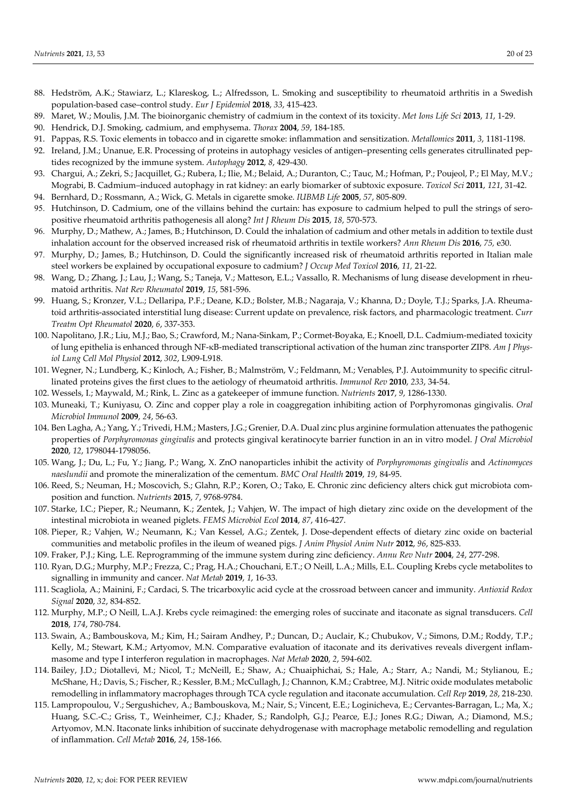- 88. Hedström, A.K.; Stawiarz, L.; Klareskog, L.; Alfredsson, L. Smoking and susceptibility to rheumatoid arthritis in a Swedish population-based case–control study. *Eur J Epidemiol* **2018**, *33*, 415-423.
- 89. Maret, W.; Moulis, J.M. The bioinorganic chemistry of cadmium in the context of its toxicity. *Met Ions Life Sci* **2013**, *11*, 1-29.
- 90. Hendrick, D.J. Smoking, cadmium, and emphysema. *Thorax* **2004**, *59*, 184-185.
- 91. Pappas, R.S. Toxic elements in tobacco and in cigarette smoke: inflammation and sensitization. *Metallomics* **2011**, *3*, 1181-1198.
- 92. Ireland, J.M.; Unanue, E.R. Processing of proteins in autophagy vesicles of antigen–presenting cells generates citrullinated peptides recognized by the immune system. *Autophagy* **2012**, *8*, 429-430.
- 93. Chargui, A.; Zekri, S.; Jacquillet, G.; Rubera, I.; Ilie, M.; Belaid, A.; Duranton, C.; Tauc, M.; Hofman, P.; Poujeol, P.; El May, M.V.; Mograbi, B. Cadmium–induced autophagy in rat kidney: an early biomarker of subtoxic exposure. *Toxicol Sci* **2011**, *121*, 31-42.
- 94. Bernhard, D.; Rossmann, A.; Wick, G. Metals in cigarette smoke. *IUBMB Life* **2005**, *57*, 805-809.
- 95. Hutchinson, D. Cadmium, one of the villains behind the curtain: has exposure to cadmium helped to pull the strings of seropositive rheumatoid arthritis pathogenesis all along? *Int J Rheum Dis* **2015**, *18*, 570-573.
- 96. Murphy, D.; Mathew, A.; James, B.; Hutchinson, D. Could the inhalation of cadmium and other metals in addition to textile dust inhalation account for the observed increased risk of rheumatoid arthritis in textile workers? *Ann Rheum Dis* **2016**, *75,* e30.
- 97. Murphy, D.; James, B.; Hutchinson, D. Could the significantly increased risk of rheumatoid arthritis reported in Italian male steel workers be explained by occupational exposure to cadmium? *J Occup Med Toxicol* **2016**, *11,* 21-22.
- 98. Wang, D.; Zhang, J.; Lau, J.; Wang, S.; Taneja, V.; Matteson, E.L.; Vassallo, R. Mechanisms of lung disease development in rheumatoid arthritis. *Nat Rev Rheumatol* **2019**, *15*, 581-596.
- 99. Huang, S.; Kronzer, V.L.; Dellaripa, P.F.; Deane, K.D.; Bolster, M.B.; Nagaraja, V.; Khanna, D.; Doyle, T.J.; Sparks, J.A. Rheumatoid arthritis-associated interstitial lung disease: Current update on prevalence, risk factors, and pharmacologic treatment. *Curr Treatm Opt Rheumatol* **2020**, *6*, 337-353.
- 100. Napolitano, J.R.; Liu, M.J.; Bao, S.; Crawford, M.; Nana-Sinkam, P.; Cormet-Boyaka, E.; Knoell, D.L. Cadmium-mediated toxicity of lung epithelia is enhanced through NF-κB-mediated transcriptional activation of the human zinc transporter ZIP8. *Am J Physiol Lung Cell Mol Physiol* **2012**, *302*, L909-L918.
- 101. Wegner, N.; Lundberg, K.; Kinloch, A.; Fisher, B.; Malmström, V.; Feldmann, M.; Venables, P.J. Autoimmunity to specific citrullinated proteins gives the first clues to the aetiology of rheumatoid arthritis. *Immunol Rev* **2010**, *233*, 34-54.
- 102. Wessels, I.; Maywald, M.; Rink, L. Zinc as a gatekeeper of immune function. *Nutrients* **2017**, *9*, 1286-1330.
- 103. Muneaki, T.; Kuniyasu, O. Zinc and copper play a role in coaggregation inhibiting action of Porphyromonas gingivalis. *Oral Microbiol Immunol* **2009**, *24*, 56-63.
- 104. Ben Lagha, A.; Yang, Y.; Trivedi, H.M.; Masters, J.G.; Grenier, D.A. Dual zinc plus arginine formulation attenuates the pathogenic properties of *Porphyromonas gingivalis* and protects gingival keratinocyte barrier function in an in vitro model. *J Oral Microbiol* **2020**, *12*, 1798044-1798056.
- 105. Wang, J.; Du, L.; Fu, Y.; Jiang, P.; Wang, X. ZnO nanoparticles inhibit the activity of *Porphyromonas gingivalis* and *Actinomyces naeslundii* and promote the mineralization of the cementum. *BMC Oral Health* **2019**, *19*, 84-95.
- 106. Reed, S.; Neuman, H.; Moscovich, S.; Glahn, R.P.; Koren, O.; Tako, E. Chronic zinc deficiency alters chick gut microbiota composition and function. *Nutrients* **2015**, *7*, 9768-9784.
- 107. Starke, I.C.; Pieper, R.; Neumann, K.; Zentek, J.; Vahjen, W. The impact of high dietary zinc oxide on the development of the intestinal microbiota in weaned piglets. *FEMS Microbiol Ecol* **2014**, *87*, 416-427.
- 108. Pieper, R.; Vahjen, W.; Neumann, K.; Van Kessel, A.G.; Zentek, J. Dose-dependent effects of dietary zinc oxide on bacterial communities and metabolic profiles in the ileum of weaned pigs. *J Anim Physiol Anim Nutr* **2012**, *96*, 825-833.
- 109. Fraker, P.J.; King, L.E. Reprogramming of the immune system during zinc deficiency. *Annu Rev Nutr* **2004**, *24*, 277-298.
- 110. Ryan, D.G.; Murphy, M.P.; Frezza, C.; Prag, H.A.; Chouchani, E.T.; O Neill, L.A.; Mills, E.L. Coupling Krebs cycle metabolites to signalling in immunity and cancer. *Nat Metab* **2019**, *1*, 16-33.
- 111. Scagliola, A.; Mainini, F.; Cardaci, S. The tricarboxylic acid cycle at the crossroad between cancer and immunity. *Antioxid Redox Signal* **2020**, *32*, 834-852.
- 112. Murphy, M.P.; O Neill, L.A.J. Krebs cycle reimagined: the emerging roles of succinate and itaconate as signal transducers. *Cell* **2018**, *174*, 780-784.
- 113. Swain, A.; Bambouskova, M.; Kim, H.; Sairam Andhey, P.; Duncan, D.; Auclair, K.; Chubukov, V.; Simons, D.M.; Roddy, T.P.; Kelly, M.; Stewart, K.M.; Artyomov, M.N. Comparative evaluation of itaconate and its derivatives reveals divergent inflammasome and type I interferon regulation in macrophages. *Nat Metab* **2020**, *2*, 594-602.
- 114. Bailey, J.D.; Diotallevi, M.; Nicol, T.; McNeill, E.; Shaw, A.; Chuaiphichai, S.; Hale, A.; Starr, A.; Nandi, M.; Stylianou, E.; McShane, H.; Davis, S.; Fischer, R.; Kessler, B.M.; McCullagh, J.; Channon, K.M.; Crabtree, M.J. Nitric oxide modulates metabolic remodelling in inflammatory macrophages through TCA cycle regulation and itaconate accumulation. *Cell Rep* **2019**, *28*, 218-230.
- 115. Lampropoulou, V.; Sergushichev, A.; Bambouskova, M.; Nair, S.; Vincent, E.E.; Loginicheva, E.; Cervantes-Barragan, L.; Ma, X.; Huang, S.C.-C.; Griss, T., Weinheimer, C.J.; Khader, S.; Randolph, G.J.; Pearce, E.J.; Jones R.G.; Diwan, A.; Diamond, M.S.; Artyomov, M.N. Itaconate links inhibition of succinate dehydrogenase with macrophage metabolic remodelling and regulation of inflammation. *Cell Metab* **2016**, *24*, 158-166.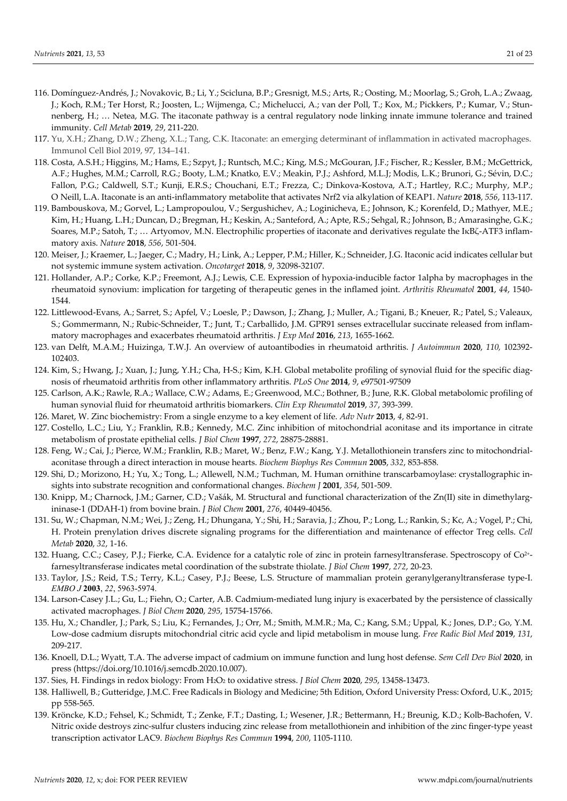- 116. Domínguez-Andrés, J.; Novakovic, B.; Li, Y.; Scicluna, B.P.; Gresnigt, M.S.; Arts, R.; Oosting, M.; Moorlag, S.; Groh, L.A.; Zwaag, J.; Koch, R.M.; Ter Horst, R.; Joosten, L.; Wijmenga, C.; Michelucci, A.; van der Poll, T.; Kox, M.; Pickkers, P.; Kumar, V.; Stunnenberg, H.; … Netea, M.G. The itaconate pathway is a central regulatory node linking innate immune tolerance and trained immunity. *Cell Metab* **2019**, *29*, 211-220.
- 117. Yu, X.H.; Zhang, D.W.; Zheng, X.L.; Tang, C.K. Itaconate: an emerging determinant of inflammation in activated macrophages. Immunol Cell Biol 2019, 97, 134–141.
- 118. Costa, A.S.H.; Higgins, M.; Hams, E.; Szpyt, J.; Runtsch, M.C.; King, M.S.; McGouran, J.F.; Fischer, R.; Kessler, B.M.; McGettrick, A.F.; Hughes, M.M.; Carroll, R.G.; Booty, L.M.; Knatko, E.V.; Meakin, P.J.; Ashford, M.L.J; Modis, L.K.; Brunori, G.; Sévin, D.C.; Fallon, P.G.; Caldwell, S.T.; Kunji, E.R.S.; Chouchani, E.T.; Frezza, C.; Dinkova-Kostova, A.T.; Hartley, R.C.; Murphy, M.P.; O Neill, L.A. Itaconate is an anti-inflammatory metabolite that activates Nrf2 via alkylation of KEAP1. *Nature* **2018**, *556*, 113-117.
- 119. Bambouskova, M.; Gorvel, L.; Lampropoulou, V.; Sergushichev, A.; Loginicheva, E.; Johnson, K.; Korenfeld, D.; Mathyer, M.E.; Kim, H.; Huang, L.H.; Duncan, D.; Bregman, H.; Keskin, A.; Santeford, A.; Apte, R.S.; Sehgal, R.; Johnson, B.; Amarasinghe, G.K.; Soares, M.P.; Satoh, T.; … Artyomov, M.N. Electrophilic properties of itaconate and derivatives regulate the IκBζ-ATF3 inflammatory axis. *Nature* **2018**, *556*, 501-504.
- 120. Meiser, J.; Kraemer, L.; Jaeger, C.; Madry, H.; Link, A.; Lepper, P.M.; Hiller, K.; Schneider, J.G. Itaconic acid indicates cellular but not systemic immune system activation. *Oncotarget* **2018**, *9*, 32098-32107.
- 121. Hollander, A.P.; Corke, K.P.; Freemont, A.J.; Lewis, C.E. Expression of hypoxia-inducible factor 1alpha by macrophages in the rheumatoid synovium: implication for targeting of therapeutic genes in the inflamed joint. *Arthritis Rheumatol* **2001**, *44*, 1540- 1544.
- 122. Littlewood-Evans, A.; Sarret, S.; Apfel, V.; Loesle, P.; Dawson, J.; Zhang, J.; Muller, A.; Tigani, B.; Kneuer, R.; Patel, S.; Valeaux, S.; Gommermann, N.; Rubic-Schneider, T.; Junt, T.; Carballido, J.M. GPR91 senses extracellular succinate released from inflammatory macrophages and exacerbates rheumatoid arthritis. *J Exp Med* **2016**, *213*, 1655-1662.
- 123. van Delft, M.A.M.; Huizinga, T.W.J. An overview of autoantibodies in rheumatoid arthritis. *J Autoimmun* **2020**, *110,* 102392- 102403.
- 124. Kim, S.; Hwang, J.; Xuan, J.; Jung, Y.H.; Cha, H-S.; Kim, K.H. Global metabolite profiling of synovial fluid for the specific diagnosis of rheumatoid arthritis from other inflammatory arthritis. *PLoS One* **2014**, *9*, e97501-97509
- 125. Carlson, A.K.; Rawle, R.A.; Wallace, C.W.; Adams, E.; Greenwood, M.C.; Bothner, B.; June, R.K. Global metabolomic profiling of human synovial fluid for rheumatoid arthritis biomarkers. *Clin Exp Rheumatol* **2019**, *37*, 393-399.
- 126. Maret, W. Zinc biochemistry: From a single enzyme to a key element of life. *Adv Nutr* **2013**, *4*, 82-91.
- 127. Costello, L.C.; Liu, Y.; Franklin, R.B.; Kennedy, M.C. Zinc inhibition of mitochondrial aconitase and its importance in citrate metabolism of prostate epithelial cells. *J Biol Chem* **1997**, *272*, 28875-28881.
- 128. Feng, W.; Cai, J.; Pierce, W.M.; Franklin, R.B.; Maret, W.; Benz, F.W.; Kang, Y.J. Metallothionein transfers zinc to mitochondrialaconitase through a direct interaction in mouse hearts. *Biochem Biophys Res Commun* **2005**, *332*, 853-858.
- 129. Shi, D.; Morizono, H.; Yu, X.; Tong, L.; Allewell, N.M.; Tuchman, M. Human ornithine transcarbamoylase: crystallographic insights into substrate recognition and conformational changes. *Biochem J* **2001**, *354*, 501-509.
- 130. Knipp, M.; Charnock, J.M.; Garner, C.D.; Vašák, M. Structural and functional characterization of the Zn(II) site in dimethylargininase-1 (DDAH-1) from bovine brain. *J Biol Chem* **2001**, *276*, 40449-40456.
- 131. Su, W.; Chapman, N.M.; Wei, J.; Zeng, H.; Dhungana, Y.; Shi, H.; Saravia, J.; Zhou, P.; Long, L.; Rankin, S.; Kc, A.; Vogel, P.; Chi, H. Protein prenylation drives discrete signaling programs for the differentiation and maintenance of effector Treg cells. *Cell Metab* **2020**, *32*, 1-16.
- 132. Huang, C.C.; Casey, P.J.; Fierke, C.A. Evidence for a catalytic role of zinc in protein farnesyltransferase. Spectroscopy of Co2+ farnesyltransferase indicates metal coordination of the substrate thiolate. *J Biol Chem* **1997**, *272*, 20-23.
- 133. Taylor, J.S.; Reid, T.S.; Terry, K.L.; Casey, P.J.; Beese, L.S. Structure of mammalian protein geranylgeranyltransferase type-I. *EMBO J* **2003**, *22*, 5963-5974.
- 134. Larson-Casey J.L.; Gu, L.; Fiehn, O.; Carter, A.B. Cadmium-mediated lung injury is exacerbated by the persistence of classically activated macrophages. *J Biol Chem* **2020**, *295*, 15754-15766.
- 135. Hu, X.; Chandler, J.; Park, S.; Liu, K.; Fernandes, J.; Orr, M.; Smith, M.M.R.; Ma, C.; Kang, S.M.; Uppal, K.; Jones, D.P.; Go, Y.M. Low-dose cadmium disrupts mitochondrial citric acid cycle and lipid metabolism in mouse lung. *Free Radic Biol Med* **2019**, *131*, 209-217.
- 136. Knoell, D.L.; Wyatt, T.A. The adverse impact of cadmium on immune function and lung host defense. *Sem Cell Dev Biol* **2020**, in press (https://doi.org/10.1016/j.semcdb.2020.10.007).
- 137. Sies, H. Findings in redox biology: From H2O2 to oxidative stress. *J Biol Chem* **2020**, *295*, 13458-13473.
- 138. Halliwell, B.; Gutteridge, J.M.C. Free Radicals in Biology and Medicine; 5th Edition, Oxford University Press: Oxford, U.K., 2015; pp 558-565.
- 139. Kröncke, K.D.; Fehsel, K.; Schmidt, T.; Zenke, F.T.; Dasting, I.; Wesener, J.R.; Bettermann, H.; Breunig, K.D.; Kolb-Bachofen, V. Nitric oxide destroys zinc-sulfur clusters inducing zinc release from metallothionein and inhibition of the zinc finger-type yeast transcription activator LAC9. *Biochem Biophys Res Commun* **1994**, *200*, 1105-1110.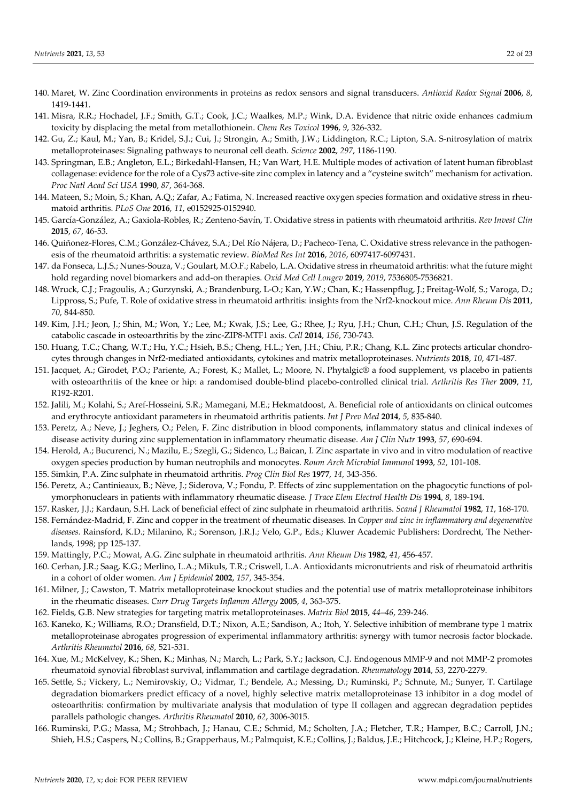- 140. Maret, W. Zinc Coordination environments in proteins as redox sensors and signal transducers. *Antioxid Redox Signal* **2006**, *8*, 1419-1441.
- 141. Misra, R.R.; Hochadel, J.F.; Smith, G.T.; Cook, J.C.; Waalkes, M.P.; Wink, D.A. Evidence that nitric oxide enhances cadmium toxicity by displacing the metal from metallothionein. *Chem Res Toxicol* **1996**, *9*, 326-332.
- 142. Gu, Z.; Kaul, M.; Yan, B.; Kridel, S.J.; Cui, J.; Strongin, A.; Smith, J.W.; Liddington, R.C.; Lipton, S.A. S-nitrosylation of matrix metalloproteinases: Signaling pathways to neuronal cell death. *Science* **2002**, *297*, 1186-1190.
- 143. Springman, E.B.; Angleton, E.L.; Birkedahl-Hansen, H.; Van Wart, H.E. Multiple modes of activation of latent human fibroblast collagenase: evidence for the role of a Cys73 active-site zinc complex in latency and a "cysteine switch" mechanism for activation. *Proc Natl Acad Sci USA* **1990**, *87*, 364-368.
- 144. Mateen, S.; Moin, S.; Khan, A.Q.; Zafar, A.; Fatima, N. Increased reactive oxygen species formation and oxidative stress in rheumatoid arthritis. *PLoS One* **2016**, *11*, e0152925-0152940.
- 145. García-González, A.; Gaxiola-Robles, R.; Zenteno-Savín, T. Oxidative stress in patients with rheumatoid arthritis. *Rev Invest Clin* **2015**, *67*, 46-53.
- 146. Quiñonez-Flores, C.M.; González-Chávez, S.A.; Del Río Nájera, D.; Pacheco-Tena, C. Oxidative stress relevance in the pathogenesis of the rheumatoid arthritis: a systematic review. *BioMed Res Int* **2016**, *2016*, 6097417-6097431.
- 147. da Fonseca, L.J.S.; Nunes-Souza, V.; Goulart, M.O.F.; Rabelo, L.A. Oxidative stress in rheumatoid arthritis: what the future might hold regarding novel biomarkers and add-on therapies. *Oxid Med Cell Longev* **2019**, *2019*, 7536805-7536821.
- 148. Wruck, C.J.; Fragoulis, A.; Gurzynski, A.; Brandenburg, L-O.; Kan, Y.W.; Chan, K.; Hassenpflug, J.; Freitag-Wolf, S.; Varoga, D.; Lippross, S.; Pufe, T. Role of oxidative stress in rheumatoid arthritis: insights from the Nrf2-knockout mice. *Ann Rheum Dis* **2011**, *70*, 844-850.
- 149. Kim, J.H.; Jeon, J.; Shin, M.; Won, Y.; Lee, M.; Kwak, J.S.; Lee, G.; Rhee, J.; Ryu, J.H.; Chun, C.H.; Chun, J.S. Regulation of the catabolic cascade in osteoarthritis by the zinc-ZIP8-MTF1 axis. *Cell* **2014**, *156*, 730-743.
- 150. Huang, T.C.; Chang, W.T.; Hu, Y.C.; Hsieh, B.S.; Cheng, H.L.; Yen, J.H.; Chiu, P.R.; Chang, K.L. Zinc protects articular chondrocytes through changes in Nrf2-mediated antioxidants, cytokines and matrix metalloproteinases. *Nutrients* **2018**, *10*, 471-487.
- 151. Jacquet, A.; Girodet, P.O.; Pariente, A.; Forest, K.; Mallet, L.; Moore, N. Phytalgic® a food supplement, vs placebo in patients with osteoarthritis of the knee or hip: a randomised double-blind placebo-controlled clinical trial. *Arthritis Res Ther* **2009**, *11*, R192-R201.
- 152. Jalili, M.; Kolahi, S.; Aref-Hosseini, S.R.; Mamegani, M.E.; Hekmatdoost, A. Beneficial role of antioxidants on clinical outcomes and erythrocyte antioxidant parameters in rheumatoid arthritis patients. *Int J Prev Med* **2014**, *5*, 835-840.
- 153. Peretz, A.; Neve, J.; Jeghers, O.; Pelen, F. Zinc distribution in blood components, inflammatory status and clinical indexes of disease activity during zinc supplementation in inflammatory rheumatic disease. *Am J Clin Nutr* **1993**, *57*, 690-694.
- 154. Herold, A.; Bucurenci, N.; Mazilu, E.; Szegli, G.; Sidenco, L.; Baican, I. Zinc aspartate in vivo and in vitro modulation of reactive oxygen species production by human neutrophils and monocytes. *Roum Arch Microbiol Immunol* **1993**, *52,* 101-108.
- 155. Simkin, P.A. Zinc sulphate in rheumatoid arthritis. *Prog Clin Biol Res* **1977**, *14*, 343-356.
- 156. Peretz, A.; Cantinieaux, B.; Nève, J.; Siderova, V.; Fondu, P. Effects of zinc supplementation on the phagocytic functions of polymorphonuclears in patients with inflammatory rheumatic disease. *J Trace Elem Electrol Health Dis* **1994**, *8*, 189-194.
- 157. Rasker, J.J.; Kardaun, S.H. Lack of beneficial effect of zinc sulphate in rheumatoid arthritis. *Scand J Rheumatol* **1982**, *11*, 168-170.
- 158. Fernández-Madrid, F. Zinc and copper in the treatment of rheumatic diseases. In *Copper and zinc in inflammatory and degenerative diseases.* Rainsford, K.D.; Milanino, R.; Sorenson, J.R.J.; Velo, G.P., Eds.; Kluwer Academic Publishers: Dordrecht, The Netherlands, 1998; pp 125-137.
- 159. Mattingly, P.C.; Mowat, A.G. Zinc sulphate in rheumatoid arthritis. *Ann Rheum Dis* **1982**, *41*, 456-457.
- 160. Cerhan, J.R.; Saag, K.G.; Merlino, L.A.; Mikuls, T.R.; Criswell, L.A. Antioxidants micronutrients and risk of rheumatoid arthritis in a cohort of older women. *Am J Epidemiol* **2002**, *157*, 345-354.
- 161. Milner, J.; Cawston, T. Matrix metalloproteinase knockout studies and the potential use of matrix metalloproteinase inhibitors in the rheumatic diseases. *Curr Drug Targets Inflamm Allergy* **2005**, *4*, 363-375.
- 162. Fields, G.B. New strategies for targeting matrix metalloproteinases. *Matrix Biol* **2015**, *44–46*, 239-246.
- 163. Kaneko, K.; Williams, R.O.; Dransfield, D.T.; Nixon, A.E.; Sandison, A.; Itoh, Y. Selective inhibition of membrane type 1 matrix metalloproteinase abrogates progression of experimental inflammatory arthritis: synergy with tumor necrosis factor blockade. *Arthritis Rheumatol* **2016**, *68*, 521-531.
- 164. Xue, M.; McKelvey, K.; Shen, K.; Minhas, N.; March, L.; Park, S.Y.; Jackson, C.J. Endogenous MMP-9 and not MMP-2 promotes rheumatoid synovial fibroblast survival, inflammation and cartilage degradation. *Rheumatology* **2014**, *53*, 2270-2279.
- 165. Settle, S.; Vickery, L.; Nemirovskiy, O.; Vidmar, T.; Bendele, A.; Messing, D.; Ruminski, P.; Schnute, M.; Sunyer, T. Cartilage degradation biomarkers predict efficacy of a novel, highly selective matrix metalloproteinase 13 inhibitor in a dog model of osteoarthritis: confirmation by multivariate analysis that modulation of type II collagen and aggrecan degradation peptides parallels pathologic changes. *Arthritis Rheumatol* **2010**, *62*, 3006-3015.
- 166. Ruminski, P.G.; Massa, M.; Strohbach, J.; Hanau, C.E.; Schmid, M.; Scholten, J.A.; Fletcher, T.R.; Hamper, B.C.; Carroll, J.N.; Shieh, H.S.; Caspers, N.; Collins, B.; Grapperhaus, M.; Palmquist, K.E.; Collins, J.; Baldus, J.E.; Hitchcock, J.; Kleine, H.P.; Rogers,